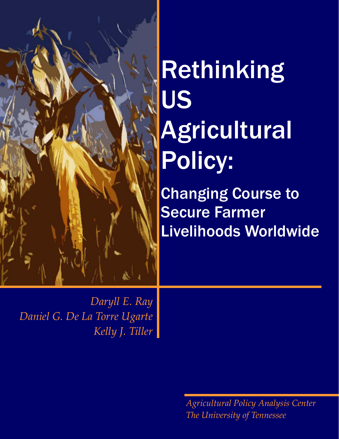

### *Daryll E. Ray Daniel G. De La Torre Ugarte Kelly J. Tiller*

# Rethinking US Agricultural Policy:

Changing Course to Secure Farmer Livelihoods Worldwide

> *Agricultural Policy Analysis Center The University of Tennessee*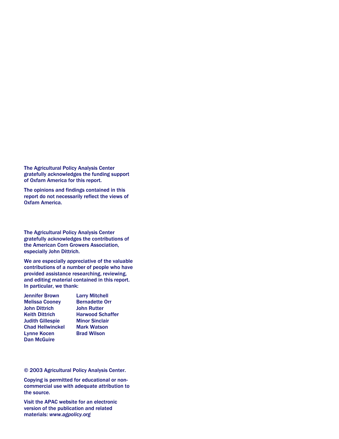The Agricultural Policy Analysis Center gratefully acknowledges the funding support of Oxfam America for this report.

The opinions and findings contained in this report do not necessarily reflect the views of Oxfam America.

The Agricultural Policy Analysis Center gratefully acknowledges the contributions of the American Corn Growers Association, especially John Dittrich.

We are especially appreciative of the valuable contributions of a number of people who have provided assistance researching, reviewing, and editing material contained in this report. In particular, we thank:

Jennifer Brown Melissa Cooney John Dittrich Keith Dittrich Judith Gillespie Chad Hellwinckel Lynne Kocen Dan McGuire

Larry Mitchell Bernadette Orr John Rutter Harwood Schaffer Minor Sinclair Mark Watson Brad Wilson

© 2003 Agricultural Policy Analysis Center.

Copying is permitted for educational or noncommercial use with adequate attribution to the source.

Visit the APAC website for an electronic version of the publication and related materials: *www.agpolicy.org*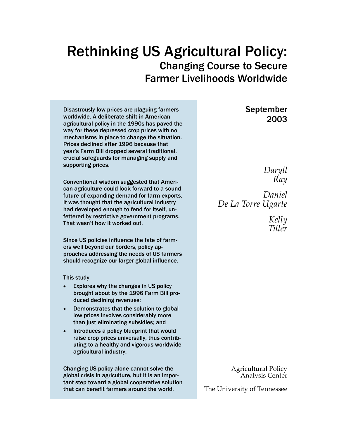### Rethinking US Agricultural Policy: Changing Course to Secure Farmer Livelihoods Worldwide

Disastrously low prices are plaguing farmers worldwide. A deliberate shift in American agricultural policy in the 1990s has paved the way for these depressed crop prices with no mechanisms in place to change the situation. Prices declined after 1996 because that year's Farm Bill dropped several traditional, crucial safeguards for managing supply and supporting prices.

Conventional wisdom suggested that American agriculture could look forward to a sound future of expanding demand for farm exports. It was thought that the agricultural industry had developed enough to fend for itself, unfettered by restrictive government programs. That wasn't how it worked out.

Since US policies influence the fate of farmers well beyond our borders, policy approaches addressing the needs of US farmers should recognize our larger global influence.

This study

- Explores why the changes in US policy brought about by the 1996 Farm Bill produced declining revenues;
- Demonstrates that the solution to global low prices involves considerably more than just eliminating subsidies; and
- Introduces a policy blueprint that would raise crop prices universally, thus contributing to a healthy and vigorous worldwide agricultural industry.

Changing US policy alone cannot solve the global crisis in agriculture, but it is an important step toward a global cooperative solution that can benefit farmers around the world.

September 2003

> *Daryll Ray*

*Daniel De La Torre Ugarte*

> *Kelly Tiller*

Agricultural Policy Analysis Center

The University of Tennessee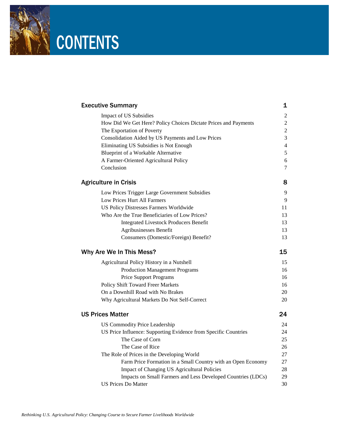

### TENTS **CONTENT CONTENTS**

| <b>Executive Summary</b>                                        | 1              |
|-----------------------------------------------------------------|----------------|
| <b>Impact of US Subsidies</b>                                   | 2              |
| How Did We Get Here? Policy Choices Dictate Prices and Payments | $\overline{2}$ |
| The Exportation of Poverty                                      | $\overline{2}$ |
| Consolidation Aided by US Payments and Low Prices               | 3              |
| Eliminating US Subsidies is Not Enough                          | 4              |
| Blueprint of a Workable Alternative                             | 5              |
| A Farmer-Oriented Agricultural Policy                           | 6              |
| Conclusion                                                      | 7              |
| <b>Agriculture in Crisis</b>                                    | 8              |
| Low Prices Trigger Large Government Subsidies                   | 9              |
| Low Prices Hurt All Farmers                                     | 9              |
| <b>US Policy Distresses Farmers Worldwide</b>                   | 11             |
| Who Are the True Beneficiaries of Low Prices?                   | 13             |
| <b>Integrated Livestock Producers Benefit</b>                   | 13             |
| Agribusinesses Benefit                                          | 13             |
| Consumers (Domestic/Foreign) Benefit?                           | 13             |
| Why Are We In This Mess?                                        | 15             |
| Agricultural Policy History in a Nutshell                       | 15             |
| <b>Production Management Programs</b>                           | 16             |
| <b>Price Support Programs</b>                                   | 16             |
| Policy Shift Toward Freer Markets                               | 16             |
| On a Downhill Road with No Brakes                               | 20             |
| Why Agricultural Markets Do Not Self-Correct                    | 20             |
| <b>US Prices Matter</b>                                         | 24             |
| <b>US Commodity Price Leadership</b>                            | 24             |
| US Price Influence: Supporting Evidence from Specific Countries | 24             |
| The Case of Corn                                                | 25             |
| The Case of Rice                                                | 26             |
| The Role of Prices in the Developing World                      | 27             |
| Farm Price Formation in a Small Country with an Open Economy    | 27             |
| <b>Impact of Changing US Agricultural Policies</b>              | 28             |
| Impacts on Small Farmers and Less Developed Countries (LDCs)    | 29             |
| <b>US Prices Do Matter</b>                                      | 30             |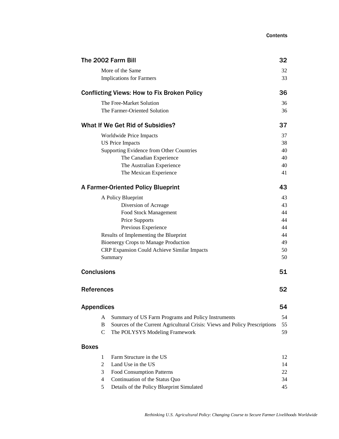### **Contents**

| The 2002 Farm Bill                                                              | 32 |
|---------------------------------------------------------------------------------|----|
| More of the Same                                                                | 32 |
| <b>Implications for Farmers</b>                                                 | 33 |
| <b>Conflicting Views: How to Fix Broken Policy</b>                              | 36 |
| The Free-Market Solution                                                        | 36 |
| The Farmer-Oriented Solution                                                    | 36 |
| What If We Get Rid of Subsidies?                                                | 37 |
| Worldwide Price Impacts                                                         | 37 |
| <b>US Price Impacts</b>                                                         | 38 |
| Supporting Evidence from Other Countries                                        | 40 |
| The Canadian Experience                                                         | 40 |
| The Australian Experience                                                       | 40 |
| The Mexican Experience                                                          | 41 |
| <b>A Farmer-Oriented Policy Blueprint</b>                                       | 43 |
| A Policy Blueprint                                                              | 43 |
| Diversion of Acreage                                                            | 43 |
| <b>Food Stock Management</b>                                                    | 44 |
| <b>Price Supports</b>                                                           | 44 |
| Previous Experience                                                             | 44 |
| Results of Implementing the Blueprint                                           | 44 |
| Bioenergy Crops to Manage Production                                            | 49 |
| CRP Expansion Could Achieve Similar Impacts                                     | 50 |
| Summary                                                                         | 50 |
| <b>Conclusions</b>                                                              | 51 |
| <b>References</b>                                                               | 52 |
| <b>Appendices</b>                                                               | 54 |
| Summary of US Farm Programs and Policy Instruments<br>A                         | 54 |
| Sources of the Current Agricultural Crisis: Views and Policy Prescriptions<br>B | 55 |
| The POLYSYS Modeling Framework<br>$\mathsf{C}$                                  | 59 |
| <b>Boxes</b>                                                                    |    |
| Farm Structure in the US<br>1                                                   | 12 |
| $\overline{2}$<br>Land Use in the US                                            | 14 |
| 3<br><b>Food Consumption Patterns</b>                                           | 22 |
| Continuation of the Status Quo<br>$\overline{4}$                                | 34 |
| 5<br>Details of the Policy Blueprint Simulated                                  | 45 |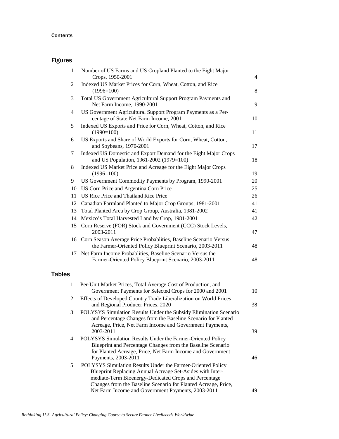### Contents

### Figures

| $\mathbf{1}$  | Number of US Farms and US Cropland Planted to the Eight Major<br>Crops, 1950-2001                                                                                                                                                                                                                         | $\overline{4}$ |
|---------------|-----------------------------------------------------------------------------------------------------------------------------------------------------------------------------------------------------------------------------------------------------------------------------------------------------------|----------------|
| 2             | Indexed US Market Prices for Corn, Wheat, Cotton, and Rice                                                                                                                                                                                                                                                |                |
|               | $(1996=100)$                                                                                                                                                                                                                                                                                              | 8              |
| 3             | Total US Government Agricultural Support Program Payments and<br>Net Farm Income, 1990-2001                                                                                                                                                                                                               | 9              |
| 4             | US Government Agricultural Support Program Payments as a Per-<br>centage of State Net Farm Income, 2001                                                                                                                                                                                                   | 10             |
| 5             | Indexed US Exports and Price for Corn, Wheat, Cotton, and Rice<br>$(1990=100)$                                                                                                                                                                                                                            | 11             |
| 6             | US Exports and Share of World Exports for Corn, Wheat, Cotton,<br>and Soybeans, 1970-2001                                                                                                                                                                                                                 | 17             |
| 7             | Indexed US Domestic and Export Demand for the Eight Major Crops<br>and US Population, 1961-2002 (1979=100)                                                                                                                                                                                                | 18             |
| 8             | Indexed US Market Price and Acreage for the Eight Major Crops<br>$(1996=100)$                                                                                                                                                                                                                             | 19             |
| 9             | US Government Commodity Payments by Program, 1990-2001                                                                                                                                                                                                                                                    | 20             |
| 10            | US Corn Price and Argentina Corn Price                                                                                                                                                                                                                                                                    | 25             |
| 11            | US Rice Price and Thailand Rice Price                                                                                                                                                                                                                                                                     | 26             |
| 12            | Canadian Farmland Planted to Major Crop Groups, 1981-2001                                                                                                                                                                                                                                                 | 41             |
| 13            | Total Planted Area by Crop Group, Australia, 1981-2002                                                                                                                                                                                                                                                    | 41             |
| 14            | Mexico's Total Harvested Land by Crop, 1981-2001                                                                                                                                                                                                                                                          | 42             |
| 15            | Corn Reserve (FOR) Stock and Government (CCC) Stock Levels,<br>2003-2011                                                                                                                                                                                                                                  | 47             |
|               | 16 Corn Season Average Price Probablities, Baseline Scenario Versus<br>the Farmer-Oriented Policy Blueprint Scenario, 2003-2011                                                                                                                                                                           | 48             |
| 17            | Net Farm Income Probablities, Baseline Scenario Versus the<br>Farmer-Oriented Policy Blueprint Scenario, 2003-2011                                                                                                                                                                                        | 48             |
| <b>Tables</b> |                                                                                                                                                                                                                                                                                                           |                |
| $\mathbf{1}$  | Per-Unit Market Prices, Total Average Cost of Production, and<br>Government Payments for Selected Crops for 2000 and 2001                                                                                                                                                                                 | 10             |
| 2             | Effects of Developed Country Trade Liberalization on World Prices<br>and Regional Producer Prices, 2020                                                                                                                                                                                                   | 38             |
| 3             | POLYSYS Simulation Results Under the Subsidy Elimination Scenario<br>and Percentage Changes from the Baseline Scenario for Planted<br>Acreage, Price, Net Farm Income and Government Payments,<br>2003-2011                                                                                               | 39             |
| 4             | POLYSYS Simulation Results Under the Farmer-Oriented Policy<br>Blueprint and Percentage Changes from the Baseline Scenario<br>for Planted Acreage, Price, Net Farm Income and Government<br>Payments, 2003-2011                                                                                           | 46             |
| 5             | POLYSYS Simulation Results Under the Farmer-Oriented Policy<br>Blueprint Replacing Annual Acreage Set-Asides with Inter-<br>mediate-Term Bioenergy-Dedicated Crops and Percentage<br>Changes from the Baseline Scenario for Planted Acreage, Price,<br>Net Farm Income and Government Payments, 2003-2011 | 49             |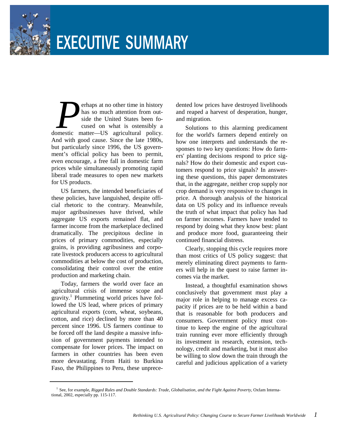

## EXECUTIVE SUMMARY

**Perhaps at no other time in history**<br>
has so much attention from out-<br>
side the United States been fo-<br>
cused on what is ostensibly a<br>
domestic matter—US agricultural policy. has so much attention from outside the United States been focused on what is ostensibly a And with good cause. Since the late 1980s, but particularly since 1996, the US government's official policy has been to permit, even encourage, a free fall in domestic farm prices while simultaneously promoting rapid liberal trade measures to open new markets for US products.

US farmers, the intended beneficiaries of these policies, have languished, despite official rhetoric to the contrary. Meanwhile, major agribusinesses have thrived, while aggregate US exports remained flat, and farmer income from the marketplace declined dramatically. The precipitous decline in prices of primary commodities, especially grains, is providing agribusiness and corporate livestock producers access to agricultural commodities at below the cost of production, consolidating their control over the entire production and marketing chain.

Today, farmers the world over face an agricultural crisis of immense scope and gravity.<sup>1</sup> Plummeting world prices have followed the US lead, where prices of primary agricultural exports (corn, wheat, soybeans, cotton, and rice) declined by more than 40 percent since 1996. US farmers continue to be forced off the land despite a massive infusion of government payments intended to compensate for lower prices. The impact on farmers in other countries has been even more devastating. From Haiti to Burkina Faso, the Philippines to Peru, these unprecedented low prices have destroyed livelihoods and reaped a harvest of desperation, hunger, and migration.

Solutions to this alarming predicament for the world's farmers depend entirely on how one interprets and understands the responses to two key questions: How do farmers' planting decisions respond to price signals? How do their domestic and export customers respond to price signals? In answering these questions, this paper demonstrates that, in the aggregate, neither crop supply nor crop demand is very responsive to changes in price. A thorough analysis of the historical data on US policy and its influence reveals the truth of what impact that policy has had on farmer incomes. Farmers have tended to respond by doing what they know best: plant and produce more food, guaranteeing their continued financial distress.

Clearly, stopping this cycle requires more than most critics of US policy suggest: that merely eliminating direct payments to farmers will help in the quest to raise farmer incomes via the market.

Instead, a thoughtful examination shows conclusively that government must play a major role in helping to manage excess capacity if prices are to be held within a band that is reasonable for both producers and consumers. Government policy must continue to keep the engine of the agricultural train running ever more efficiently through its investment in research, extension, technology, credit and marketing, but it must also be willing to slow down the train through the careful and judicious application of a variety

 <sup>1</sup> See, for example, *Rigged Rules and Double Standards: Trade, Globalisation, and the Fight Against Poverty*, Oxfam International, 2002, especially pp. 115-117.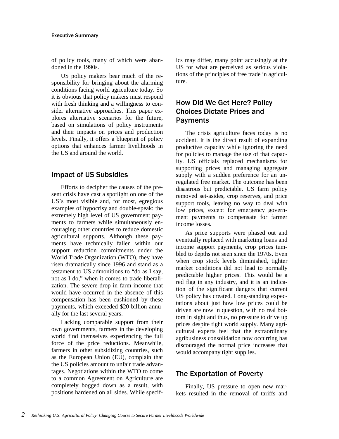of policy tools, many of which were abandoned in the 1990s.

US policy makers bear much of the responsibility for bringing about the alarming conditions facing world agriculture today. So it is obvious that policy makers must respond with fresh thinking and a willingness to consider alternative approaches. This paper explores alternative scenarios for the future, based on simulations of policy instruments and their impacts on prices and production levels. Finally, it offers a blueprint of policy options that enhances farmer livelihoods in the US and around the world.

### Impact of US Subsidies

Efforts to decipher the causes of the present crisis have cast a spotlight on one of the US's most visible and, for most, egregious examples of hypocrisy and double-speak: the extremely high level of US government payments to farmers while simultaneously encouraging other countries to reduce domestic agricultural supports. Although these payments have technically fallen within our support reduction commitments under the World Trade Organization (WTO), they have risen dramatically since 1996 and stand as a testament to US admonitions to "do as I say, not as I do," when it comes to trade liberalization. The severe drop in farm income that would have occurred in the absence of this compensation has been cushioned by these payments, which exceeded \$20 billion annually for the last several years.

Lacking comparable support from their own governments, farmers in the developing world find themselves experiencing the full force of the price reductions. Meanwhile, farmers in other subsidizing countries, such as the European Union (EU), complain that the US policies amount to unfair trade advantages. Negotiations within the WTO to come to a common Agreement on Agriculture are completely bogged down as a result, with positions hardened on all sides. While specifics may differ, many point accusingly at the US for what are perceived as serious violations of the principles of free trade in agriculture.

### How Did We Get Here? Policy Choices Dictate Prices and **Payments**

The crisis agriculture faces today is no accident. It is the direct result of expanding productive capacity while ignoring the need for policies to manage the use of that capacity. US officials replaced mechanisms for supporting prices and managing aggregate supply with a sudden preference for an unregulated free market. The outcome has been disastrous but predictable. US farm policy removed set-asides, crop reserves, and price support tools, leaving no way to deal with low prices, except for emergency government payments to compensate for farmer income losses.

As price supports were phased out and eventually replaced with marketing loans and income support payments, crop prices tumbled to depths not seen since the 1970s. Even when crop stock levels diminished, tighter market conditions did not lead to normally predictable higher prices. This would be a red flag in any industry, and it is an indication of the significant dangers that current US policy has created. Long-standing expectations about just how low prices could be driven are now in question, with no real bottom in sight and thus, no pressure to drive up prices despite tight world supply. Many agricultural experts feel that the extraordinary agribusiness consolidation now occurring has discouraged the normal price increases that would accompany tight supplies.

### The Exportation of Poverty

Finally, US pressure to open new markets resulted in the removal of tariffs and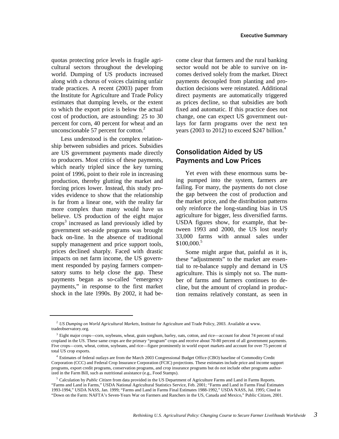quotas protecting price levels in fragile agricultural sectors throughout the developing world. Dumping of US products increased along with a chorus of voices claiming unfair trade practices. A recent (2003) paper from the Institute for Agriculture and Trade Policy estimates that dumping levels, or the extent to which the export price is below the actual cost of production, are astounding: 25 to 30 percent for corn, 40 percent for wheat and an unconscionable 57 percent for cotton. $2$ 

Less understood is the complex relationship between subsidies and prices. Subsidies are US government payments made directly to producers. Most critics of these payments, which nearly tripled since the key turning point of 1996, point to their role in increasing production, thereby glutting the market and forcing prices lower. Instead, this study provides evidence to show that the relationship is far from a linear one, with the reality far more complex than many would have us believe. US production of the eight major crops<sup>3</sup> increased as land previously idled by government set-aside programs was brought back on-line. In the absence of traditional supply management and price support tools, prices declined sharply. Faced with drastic impacts on net farm income, the US government responded by paying farmers compensatory sums to help close the gap. These payments began as so-called "emergency payments," in response to the first market shock in the late 1990s. By 2002, it had become clear that farmers and the rural banking sector would not be able to survive on incomes derived solely from the market. Direct payments decoupled from planting and production decisions were reinstated. Additional direct payments are automatically triggered as prices decline, so that subsidies are both fixed and automatic. If this practice does not change, one can expect US government outlays for farm programs over the next ten years (2003 to 2012) to exceed \$247 billion.<sup>4</sup>

### Consolidation Aided by US Payments and Low Prices

Yet even with these enormous sums being pumped into the system, farmers are failing. For many, the payments do not close the gap between the cost of production and the market price, and the distribution patterns only reinforce the long-standing bias in US agriculture for bigger, less diversified farms. USDA figures show, for example, that between 1993 and 2000, the US lost nearly 33,000 farms with annual sales under \$100,000.<sup>5</sup>

Some might argue that, painful as it is, these "adjustments" to the market are essential to re-balance supply and demand in US agriculture. This is simply not so. The number of farms and farmers continues to decline, but the amount of cropland in production remains relatively constant, as seen in

<sup>2</sup>*US Dumping on World Agricultural Markets*, Institute for Agriculture and Trade Policy, 2003. Available at www. tradeobservatory.org.

<sup>&</sup>lt;sup>3</sup> Eight major crops—corn, soybeans, wheat, grain sorghum, barley, oats, cotton, and rice—account for about 74 percent of total cropland in the US. These same crops are the primary "program" crops and receive about 70-80 percent of all government payments. Five crops—corn, wheat, cotton, soybeans, and rice—figure prominently in world export markets and account for over 75 percent of total US crop exports.

 <sup>4</sup> Estimates of federal outlays are from the March 2003 Congressional Budget Office (CBO) baseline of Commodity Credit Corporation (CCC) and Federal Crop Insurance Corporation (FCIC) projections. These estimates include price and income support programs, export credit programs, conservation programs, and crop insurance programs but do not include other programs authorized in the Farm Bill, such as nutritional assistance (e.g., Food Stamps).

5 Calculation by *Public Citizen* from data provided in the US Department of Agriculture Farms and Land in Farms Reports. "Farms and Land in Farms," USDA National Agricultural Statistics Service, Feb. 2001; "Farms and Land in Farms Final Estimates 1993-1994," USDA NASS, Jan. 1999; "Farms and Land in Farms Final Estimates 1988-1992," USDA NASS, Jul. 1995; Cited in "Down on the Farm: NAFTA's Seven-Years War on Farmers and Ranchers in the US, Canada and Mexico," Public Citizen, 2001.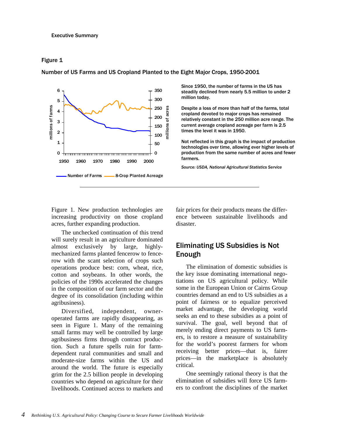### Figure 1



Number of US Farms and US Cropland Planted to the Eight Major Crops, 1950-2001

Since 1950, the number of farms in the US has steadily declined from nearly 5.5 million to under 2 million today.

Despite a loss of more than half of the farms, total cropland devoted to major crops has remained relatively constant in the 250 million acre range. The current average cropland acreage per farm is 2.5 times the level it was in 1950.

Not reflected in this graph is the impact of production technologies over time, allowing ever higher levels of production from the same number of acres and fewer farmers.

*Source: USDA, National Agricultural Statistics Service*

Figure 1. New production technologies are increasing productivity on those cropland acres, further expanding production.

The unchecked continuation of this trend will surely result in an agriculture dominated almost exclusively by large, highlymechanized farms planted fencerow to fencerow with the scant selection of crops such operations produce best: corn, wheat, rice, cotton and soybeans. In other words, the policies of the 1990s accelerated the changes in the composition of our farm sector and the degree of its consolidation (including within agribusiness).

Diversified, independent, owneroperated farms are rapidly disappearing, as seen in Figure 1. Many of the remaining small farms may well be controlled by large agribusiness firms through contract production. Such a future spells ruin for farmdependent rural communities and small and moderate-size farms within the US and around the world. The future is especially grim for the 2.5 billion people in developing countries who depend on agriculture for their livelihoods. Continued access to markets and fair prices for their products means the difference between sustainable livelihoods and disaster.

### Eliminating US Subsidies is Not Enough

The elimination of domestic subsidies is the key issue dominating international negotiations on US agricultural policy. While some in the European Union or Cairns Group countries demand an end to US subsidies as a point of fairness or to equalize perceived market advantage, the developing world seeks an end to these subsidies as a point of survival. The goal, well beyond that of merely ending direct payments to US farmers, is to restore a measure of sustainability for the world's poorest farmers for whom receiving better prices—that is, fairer prices—in the marketplace is absolutely critical.

One seemingly rational theory is that the elimination of subsidies will force US farmers to confront the disciplines of the market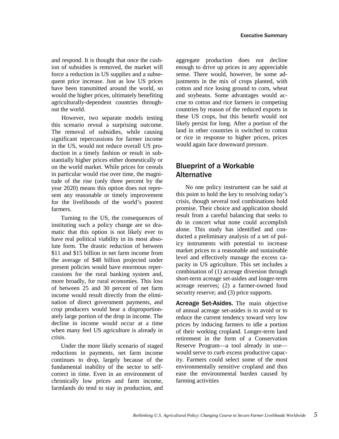and respond. It is thought that once the cushion of subsidies is removed, the market will force a reduction in US supplies and a subsequent price increase. Just as low US prices have been transmitted around the world, so would the higher prices, ultimately benefiting agriculturally-dependent countries throughout the world.

However, two separate models testing this scenario reveal a surprising outcome. The removal of subsidies, while causing significant repercussions for farmer income in the US, would not reduce overall US production in a timely fashion or result in substantially higher prices either domestically or on the world market. While prices for cereals in particular would rise over time, the magnitude of the rise (only three percent by the year 2020) means this option does not represent any reasonable or timely improvement for the livelihoods of the world's poorest farmers.

Turning to the US, the consequences of instituting such a policy change are so dramatic that this option is not likely ever to have real political viability in its most absolute form. The drastic reduction of between \$11 and \$15 billion in net farm income from the average of \$48 billion projected under present policies would have enormous repercussions for the rural banking system and, more broadly, for rural economies. This loss of between 25 and 30 percent of net farm income would result directly from the elimination of direct government payments, and crop producers would bear a disproportionately large portion of the drop in income. The decline in income would occur at a time when many feel US agriculture is already in crisis.

Under the more likely scenario of staged reductions in payments, net farm income continues to drop, largely because of the fundamental inability of the sector to selfcorrect in time. Even in an environment of chronically low prices and farm income, farmlands do tend to stay in production, and aggregate production does not decline enough to drive up prices in any appreciable sense. There would, however, be some adjustments in the mix of crops planted, with cotton and rice losing ground to corn, wheat and soybeans. Some advantages would accrue to cotton and rice farmers in competing countries by reason of the reduced exports in these US crops, but this benefit would not likely persist for long. After a portion of the land in other countries is switched to cotton or rice in response to higher prices, prices would again face downward pressure.

### Blueprint of a Workable **Alternative**

No one policy instrument can be said at this point to hold the key to resolving today's crisis, though several tool combinations hold promise. Their choice and application should result from a careful balancing that seeks to do in concert what none could accomplish alone. This study has identified and conducted a preliminary analysis of a set of policy instruments with potential to increase market prices to a reasonable and sustainable level and effectively manage the excess capacity in US agriculture. This set includes a combination of (1) acreage diversion through short-term acreage set-asides and longer-term acreage reserves; (2) a farmer-owned food security reserve; and (3) price supports.

Acreage Set-Asides. The main objective of annual acreage set-asides is to avoid or to reduce the current tendency toward very low prices by inducing farmers to idle a portion of their working cropland. Longer-term land retirement in the form of a Conservation Reserve Program—a tool already in use would serve to curb excess productive capacity. Farmers could select some of the most environmentally sensitive cropland and thus ease the environmental burden caused by farming activities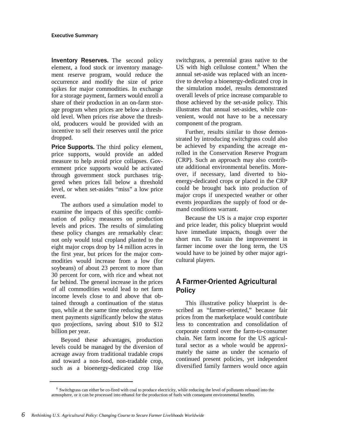Inventory Reserves. The second policy element, a food stock or inventory management reserve program, would reduce the occurrence and modify the size of price spikes for major commodities. In exchange for a storage payment, farmers would enroll a share of their production in an on-farm storage program when prices are below a threshold level. When prices rise above the threshold, producers would be provided with an incentive to sell their reserves until the price dropped.

Price Supports. The third policy element, price supports, would provide an added measure to help avoid price collapses. Government price supports would be activated through government stock purchases triggered when prices fall below a threshold level, or when set-asides "miss" a low price event.

The authors used a simulation model to examine the impacts of this specific combination of policy measures on production levels and prices. The results of simulating these policy changes are remarkably clear: not only would total cropland planted to the eight major crops drop by 14 million acres in the first year, but prices for the major commodities would increase from a low (for soybeans) of about 23 percent to more than 30 percent for corn, with rice and wheat not far behind. The general increase in the prices of all commodities would lead to net farm income levels close to and above that obtained through a continuation of the status quo, while at the same time reducing government payments significantly below the status quo projections, saving about \$10 to \$12 billion per year.

Beyond these advantages, production levels could be managed by the diversion of acreage away from traditional tradable crops and toward a non-food, non-tradable crop, such as a bioenergy-dedicated crop like switchgrass, a perennial grass native to the US with high cellulose content.<sup>6</sup> When the annual set-aside was replaced with an incentive to develop a bioenergy-dedicated crop in the simulation model, results demonstrated overall levels of price increase comparable to those achieved by the set-aside policy. This illustrates that annual set-asides, while convenient, would not have to be a necessary component of the program.

Further, results similar to those demonstrated by introducing switchgrass could also be achieved by expanding the acreage enrolled in the Conservation Reserve Program (CRP). Such an approach may also contribute additional environmental benefits. Moreover, if necessary, land diverted to bioenergy-dedicated crops or placed in the CRP could be brought back into production of major crops if unexpected weather or other events jeopardizes the supply of food or demand conditions warrant.

Because the US is a major crop exporter and price leader, this policy blueprint would have immediate impacts, though over the short run. To sustain the improvement in farmer income over the long term, the US would have to be joined by other major agricultural players.

### A Farmer-Oriented Agricultural **Policy**

This illustrative policy blueprint is described as "farmer-oriented," because fair prices from the marketplace would contribute less to concentration and consolidation of corporate control over the farm-to-consumer chain. Net farm income for the US agricultural sector as a whole would be approximately the same as under the scenario of continued present policies, yet independent diversified family farmers would once again

 <sup>6</sup> Switchgrass can either be co-fired with coal to produce electricity, while reducing the level of pollutants released into the atmosphere, or it can be processed into ethanol for the production of fuels with consequent environmental benefits.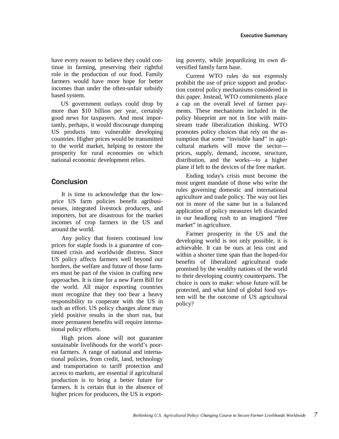have every reason to believe they could continue in farming, preserving their rightful role in the production of our food. Family farmers would have more hope for better incomes than under the often-unfair subsidy based system.

US government outlays could drop by more than \$10 billion per year, certainly good news for taxpayers. And most importantly, perhaps, it would discourage dumping US products into vulnerable developing countries. Higher prices would be transmitted to the world market, helping to restore the prosperity for rural economies on which national economic development relies.

### Conclusion

It is time to acknowledge that the lowprice US farm policies benefit agribusinesses, integrated livestock producers, and importers, but are disastrous for the market incomes of crop farmers in the US and around the world.

Any policy that fosters continued low prices for staple foods is a guarantee of continued crisis and worldwide distress. Since US policy affects farmers well beyond our borders, the welfare and future of those farmers must be part of the vision in crafting new approaches. It is time for a new Farm Bill for the world. All major exporting countries must recognize that they too bear a heavy responsibility to cooperate with the US in such an effort. US policy changes alone may yield positive results in the short run, but more permanent benefits will require international policy efforts.

High prices alone will not guarantee sustainable livelihoods for the world's poorest farmers. A range of national and international policies, from credit, land, technology and transportation to tariff protection and access to markets, are essential if agricultural production is to bring a better future for farmers. It is certain that in the absence of higher prices for producers, the US is exporting poverty, while jeopardizing its own diversified family farm base.

Current WTO rules do not expressly prohibit the use of price support and production control policy mechanisms considered in this paper. Instead, WTO commitments place a cap on the overall level of farmer payments. These mechanisms included in the policy blueprint are not in line with mainstream trade liberalization thinking. WTO promotes policy choices that rely on the assumption that some "invisible hand" in agricultural markets will move the sector prices, supply, demand, income, structure, distribution, and the works—to a higher plane if left to the devices of the free market.

Ending today's crisis must become the most urgent mandate of those who write the rules governing domestic and international agriculture and trade policy. The way out lies not in more of the same but in a balanced application of policy measures left discarded in our headlong rush to an imagined "free market" in agriculture.

Farmer prosperity in the US and the developing world is not only possible, it is achievable. It can be ours at less cost and within a shorter time span than the hoped-for benefits of liberalized agricultural trade promised by the wealthy nations of the world to their developing country counterparts. The choice is ours to make: whose future will be protected, and what kind of global food system will be the outcome of US agricultural policy?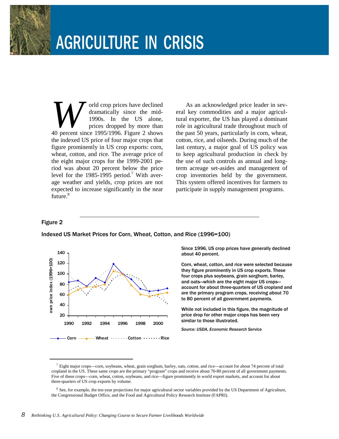

## AGRICULTURE IN CRISIS

*W* orld crop prices have declined dramatically since the mid-<br>1990s. In the US alone, prices dropped by more than<br>40 percent since 1995/1996. Figure 2 shows dramatically since the mid-1990s. In the US alone, prices dropped by more than the indexed US price of four major crops that figure prominently in US crop exports: corn, wheat, cotton, and rice. The average price of the eight major crops for the 1999-2001 period was about 20 percent below the price level for the 1985-1995 period.<sup>7</sup> With average weather and yields, crop prices are not expected to increase significantly in the near future.<sup>8</sup>

As an acknowledged price leader in several key commodities and a major agricultural exporter, the US has played a dominant role in agricultural trade throughout much of the past 50 years, particularly in corn, wheat, cotton, rice, and oilseeds. During much of the last century, a major goal of US policy was to keep agricultural production in check by the use of such controls as annual and longterm acreage set-asides and management of crop inventories held by the government. This system offered incentives for farmers to participate in supply management programs.

### Figure 2

Indexed US Market Prices for Corn, Wheat, Cotton, and Rice (1996=100)



Since 1996, US crop prices have generally declined about 40 percent.

Corn, wheat, cotton, and rice were selected because they figure prominently in US crop exports. These four crops plus soybeans, grain sorghum, barley, and oats—which are the eight major US crops account for about three-quarters of US cropland and are the primary program crops, receiving about 70 to 80 percent of all government payments.

While not included in this figure, the magnitude of price drop for other major crops has been very similar to those illustrated.

*Source: USDA, Economic Research Service*

 $^7$  Eight major crops—corn, soybeans, wheat, grain sorghum, barley, oats, cotton, and rice—account for about 74 percent of total cropland in the US. These same crops are the primary "program" crops and receive about 70-80 percent of all government payments. Five of these crops—corn, wheat, cotton, soybeans, and rice—figure prominently in world export markets, and account for about three-quarters of US crop exports by volume.

<sup>&</sup>lt;sup>8</sup> See, for example, the ten-year projections for major agricultural sector variables provided by the US Department of Agriculture, the Congressional Budget Office, and the Food and Agricultural Policy Research Institute (FAPRI).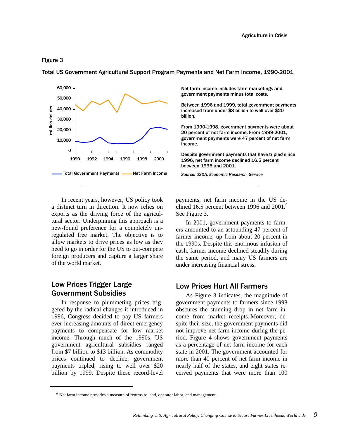#### Figure 3



Total US Government Agricultural Support Program Payments and Net Farm Income, 1990-2001

In recent years, however, US policy took a distinct turn in direction. It now relies on exports as the driving force of the agricultural sector. Underpinning this approach is a new-found preference for a completely unregulated free market. The objective is to allow markets to drive prices as low as they need to go in order for the US to out-compete foreign producers and capture a larger share of the world market.

### Low Prices Trigger Large Government Subsidies

In response to plummeting prices triggered by the radical changes it introduced in 1996, Congress decided to pay US farmers ever-increasing amounts of direct emergency payments to compensate for low market income. Through much of the 1990s, US government agricultural subsidies ranged from \$7 billion to \$13 billion. As commodity prices continued to decline, government payments tripled, rising to well over \$20 billion by 1999. Despite these record-level Net farm income includes farm marketings and government payments minus total costs.

Between 1996 and 1999, total government payments increased from under \$8 billion to well over \$20 billion.

From 1990-1998, government payments were about 20 percent of net farm income. From 1999-2001, government payments were 47 percent of net farm income.

Despite government payments that have tripled since 1996, net farm income declined 16.5 percent between 1996 and 2001.

*Source: USDA, Economic Research Service*

payments, net farm income in the US declined 16.5 percent between 1996 and 2001.<sup>9</sup> See Figure 3.

In 2001, government payments to farmers amounted to an astounding 47 percent of farmer income, up from about 20 percent in the 1990s. Despite this enormous infusion of cash, farmer income declined steadily during the same period, and many US farmers are under increasing financial stress.

### Low Prices Hurt All Farmers

As Figure 3 indicates, the magnitude of government payments to farmers since 1998 obscures the stunning drop in net farm income from market receipts. Moreover, despite their size, the government payments did not improve net farm income during the period. Figure 4 shows government payments as a percentage of net farm income for each state in 2001. The government accounted for more than 40 percent of net farm income in nearly half of the states, and eight states received payments that were more than 100

<sup>&</sup>lt;sup>9</sup> Net farm income provides a measure of returns to land, operator labor, and management.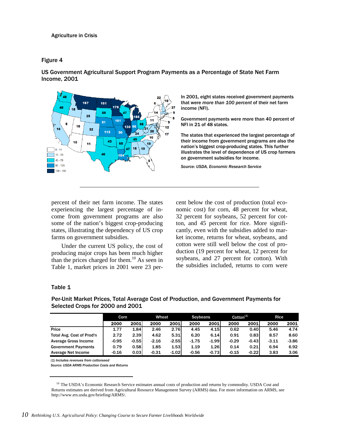#### Agriculture in Crisis

### Figure 4



US Government Agricultural Support Program Payments as a Percentage of State Net Farm Income, 2001

percent of their net farm income. The states experiencing the largest percentage of income from government programs are also some of the nation's biggest crop-producing states, illustrating the dependency of US crop farms on government subsidies.

Under the current US policy, the cost of producing major crops has been much higher than the prices charged for them.10 As seen in Table 1, market prices in 2001 were 23 percent below the cost of production (total economic cost) for corn, 48 percent for wheat, 32 percent for soybeans, 52 percent for cotton, and 45 percent for rice. More significantly, even with the subsidies added to market income, returns for wheat, soybeans, and cotton were still well below the cost of production (19 percent for wheat, 12 percent for soybeans, and 27 percent for cotton). With the subsidies included, returns to corn were

### Table 1

|                             | Corn    |             | Wheat   |         |         | Sovbeans |         | $\text{Cotton}^{(1)}$ |         | Rice    |  |
|-----------------------------|---------|-------------|---------|---------|---------|----------|---------|-----------------------|---------|---------|--|
|                             | 2000    | <b>2001</b> | 2000    | 2001    | 2000    | 2001     | 2000    | 2001                  | 2000    | 2001    |  |
| Price                       | 1.77    | 1.84        | 2.46    | 2.76    | 4.45    | 4.15     | 0.62    | 0.40                  | 5.46    | 4.74    |  |
| Total Avg. Cost of Prod'n   | 2.72    | 2.39        | 4.62    | 5.31    | 6.20    | 6.14     | 0.91    | 0.83                  | 8.57    | 8.60    |  |
| <b>Average Gross Income</b> | $-0.95$ | $-0.55$     | $-2.16$ | $-2.55$ | $-1.75$ | $-1.99$  | $-0.29$ | $-0.43$               | $-3.11$ | $-3.86$ |  |
| <b>Government Payments</b>  | 0.79    | 0.581       | 1.85    | 1.53    | 1.19    | 1.26     | 0.14    | 0.21                  | 6.94    | 6.92    |  |
| Average Net Income          | $-0.16$ | 0.03        | $-0.31$ | $-1.02$ | $-0.56$ | $-0.73$  | $-0.15$ | $-0.221$              | 3.83    | 3.06    |  |

Per-Unit Market Prices, Total Average Cost of Production, and Government Payments for Selected Crops for 2000 and 2001

*(1) Includes revenues from cottonseed*

*Source: USDA ARMS Production Costs and Returns*

<sup>&</sup>lt;sup>10</sup> The USDA's Economic Research Service estimates annual costs of production and returns by commodity. USDA Cost and Returns estimates are derived from Agricultural Resource Management Survey (ARMS) data. For more information on ARMS, see http://www.ers.usda.gov/briefing/ARMS/.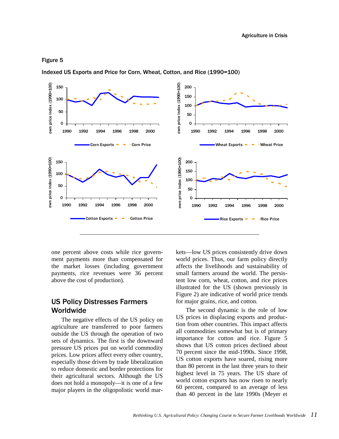#### Figure 5



Indexed US Exports and Price for Corn, Wheat, Cotton, and Rice (1990=100)

one percent above costs while rice government payments more than compensated for the market losses (including government payments, rice revenues were 36 percent above the cost of production).

### US Policy Distresses Farmers Worldwide

The negative effects of the US policy on agriculture are transferred to poor farmers outside the US through the operation of two sets of dynamics. The first is the downward pressure US prices put on world commodity prices. Low prices affect every other country, especially those driven by trade liberalization to reduce domestic and border protections for their agricultural sectors. Although the US does not hold a monopoly—it is one of a few major players in the oligopolistic world markets—low US prices consistently drive down world prices. Thus, our farm policy directly affects the livelihoods and sustainability of small farmers around the world. The persistent low corn, wheat, cotton, and rice prices illustrated for the US (shown previously in Figure 2) are indicative of world price trends for major grains, rice, and cotton.

The second dynamic is the role of low US prices in displacing exports and production from other countries. This impact affects all commodities somewhat but is of primary importance for cotton and rice. Figure 5 shows that US cotton prices declined about 70 percent since the mid-1990s. Since 1998, US cotton exports have soared, rising more than 80 percent in the last three years to their highest level in 75 years. The US share of world cotton exports has now risen to nearly 60 percent, compared to an average of less than 40 percent in the late 1990s (Meyer et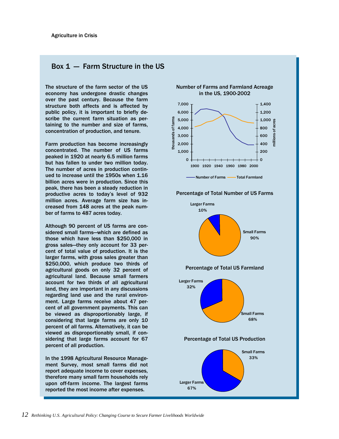### Box 1 — Farm Structure in the US

The structure of the farm sector of the US economy has undergone drastic changes over the past century. Because the farm structure both affects and is affected by public policy, it is important to briefly describe the current farm situation as pertaining to the number and size of farms, concentration of production, and tenure.

Farm production has become increasingly concentrated. The number of US farms peaked in 1920 at nearly 6.5 million farms but has fallen to under two million today. The number of acres in production continued to increase until the 1950s when 1.16 billion acres were in production. Since this peak, there has been a steady reduction in productive acres to today's level of 932 million acres. Average farm size has increased from 148 acres at the peak number of farms to 487 acres today.

Although 90 percent of US farms are considered small farms—which are defined as those which have less than \$250,000 in gross sales—they only account for 33 percent of total value of production. It is the larger farms, with gross sales greater than \$250,000, which produce two thirds of agricultural goods on only 32 percent of agricultural land. Because small farmers account for two thirds of all agricultural land, they are important in any discussions regarding land use and the rural environment. Large farms receive about 47 percent of all government payments. This can be viewed as disproportionably large, if considering that large farms are only 10 percent of all farms. Alternatively, it can be viewed as disproportionably small, if considering that large farms account for 67 percent of all production.

In the 1998 Agricultural Resource Management Survey, most small farms did not report adequate income to cover expenses, therefore many small farm households rely upon off-farm income. The largest farms reported the most income after expenses.



Percentage of Total Number of US Farms

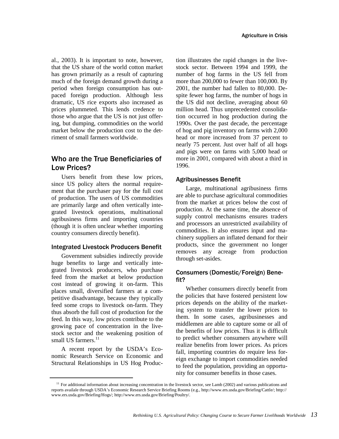al., 2003). It is important to note, however, that the US share of the world cotton market has grown primarily as a result of capturing much of the foreign demand growth during a period when foreign consumption has outpaced foreign production. Although less dramatic, US rice exports also increased as prices plummeted. This lends credence to those who argue that the US is not just offering, but dumping, commodities on the world market below the production cost to the detriment of small farmers worldwide.

### Who are the True Beneficiaries of Low Prices?

Users benefit from these low prices, since US policy alters the normal requirement that the purchaser pay for the full cost of production. The users of US commodities are primarily large and often vertically integrated livestock operations, multinational agribusiness firms and importing countries (though it is often unclear whether importing country consumers directly benefit).

### Integrated Livestock Producers Benefit

Government subsidies indirectly provide huge benefits to large and vertically integrated livestock producers, who purchase feed from the market at below production cost instead of growing it on-farm. This places small, diversified farmers at a competitive disadvantage, because they typically feed some crops to livestock on-farm. They thus absorb the full cost of production for the feed. In this way, low prices contribute to the growing pace of concentration in the livestock sector and the weakening position of small US farmers.<sup>11</sup>

A recent report by the USDA's Economic Research Service on Economic and Structural Relationships in US Hog Production illustrates the rapid changes in the livestock sector. Between 1994 and 1999, the number of hog farms in the US fell from more than 200,000 to fewer than 100,000. By 2001, the number had fallen to 80,000. Despite fewer hog farms, the number of hogs in the US did not decline, averaging about 60 million head. Thus unprecedented consolidation occurred in hog production during the 1990s. Over the past decade, the percentage of hog and pig inventory on farms with 2,000 head or more increased from 37 percent to nearly 75 percent. Just over half of all hogs and pigs were on farms with 5,000 head or more in 2001, compared with about a third in 1996.

### Agribusinesses Benefit

Large, multinational agribusiness firms are able to purchase agricultural commodities from the market at prices below the cost of production. At the same time, the absence of supply control mechanisms ensures traders and processors an unrestricted availability of commodities. It also ensures input and machinery suppliers an inflated demand for their products, since the government no longer removes any acreage from production through set-asides.

### Consumers (Domestic/Foreign) Benefit?

Whether consumers directly benefit from the policies that have fostered persistent low prices depends on the ability of the marketing system to transfer the lower prices to them. In some cases, agribusinesses and middlemen are able to capture some or all of the benefits of low prices. Thus it is difficult to predict whether consumers anywhere will realize benefits from lower prices. As prices fall, importing countries do require less foreign exchange to import commodities needed to feed the population, providing an opportunity for consumer benefits in those cases.

 $11$  For additional information about increasing concentration in the livestock sector, see Lamb (2002) and various publications and reports availale through USDA's Economic Research Service Briefing Rooms (e.g., http://www.ers.usda.gov/Briefing/Cattle/; http:// www.ers.usda.gov/Briefing/Hogs/; http://www.ers.usda.gov/Briefing/Poultry/.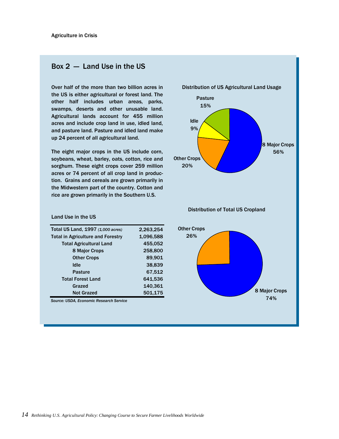### Box 2 — Land Use in the US

the US is either agricultural or forest land. The other half includes urban areas, parks, swamps, deserts and other unusable land. Agricultural lands account for 455 million acres and include crop land in use, idled land, and pasture land. Pasture and idled land make up 24 percent of all agricultural land.

The eight major crops in the US include corn, soybeans, wheat, barley, oats, cotton, rice and sorghum. These eight crops cover 259 million acres or 74 percent of all crop land in production. Grains and cereals are grown primarily in the Midwestern part of the country. Cotton and rice are grown primarily in the Southern U.S.



Land Use in the US

| Total US Land, 1997 (1,000 acres)        | 2,263,254 |
|------------------------------------------|-----------|
| <b>Total in Agriculture and Forestry</b> | 1,096,588 |
| <b>Total Agricultural Land</b>           | 455,052   |
| <b>8 Major Crops</b>                     | 258,800   |
| <b>Other Crops</b>                       | 89,901    |
| Idle                                     | 38,839    |
| <b>Pasture</b>                           | 67,512    |
| <b>Total Forest Land</b>                 | 641,536   |
| Grazed                                   | 140,361   |
| <b>Not Grazed</b>                        | 501.175   |

*Source: USDA, Economic Research Service*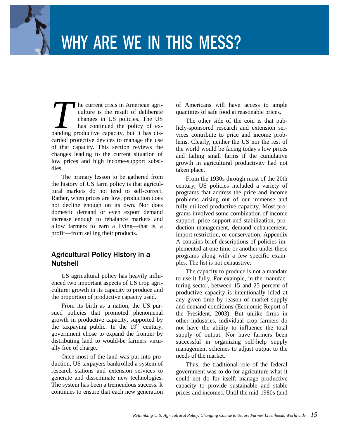

## WHY ARE WE IN THIS MESS?

**THE CULTER 1999 THE CULTER CONTROLLER CONTROLLER CHANGE CONTROLLER CONTROLLER CONTROLLER CONTROLLER CONTROLLER CONTROLLER PRODUCTION AND THE PRODUCTION OF ALL PRODUCTS CONTROLLER PRODUCTS AND CONTROLLER CONTROLLER CONTROL** culture is the result of deliberate changes in US policies. The US has continued the policy of excarded protective devices to manage the use of that capacity. This section reviews the changes leading to the current situation of low prices and high income-support subsidies.

The primary lesson to be gathered from the history of US farm policy is that agricultural markets do not tend to self-correct. Rather, when prices are low, production does not decline enough on its own. Nor does domestic demand or even export demand increase enough to rebalance markets and allow farmers to earn a living—that is, a profit—from selling their products.

### Agricultural Policy History in a Nutshell

US agricultural policy has heavily influenced two important aspects of US crop agriculture: growth in its capacity to produce and the proportion of productive capacity used.

From its birth as a nation, the US pursued policies that promoted phenomenal growth in productive capacity, supported by the taxpaying public. In the  $19<sup>th</sup>$  century, government chose to expand the frontier by distributing land to would-be farmers virtually free of charge.

Once most of the land was put into production, US taxpayers bankrolled a system of research stations and extension services to generate and disseminate new technologies. The system has been a tremendous success. It continues to ensure that each new generation of Americans will have access to ample quantities of safe food at reasonable prices.

The other side of the coin is that publicly-sponsored research and extension services contribute to price and income problems. Clearly, neither the US nor the rest of the world would be facing today's low prices and failing small farms if the cumulative growth in agricultural productivity had not taken place.

From the 1930s through most of the 20th century, US policies included a variety of programs that address the price and income problems arising out of our immense and fully utilized productive capacity. Most programs involved some combination of income support, price support and stabilization, production management, demand enhancement, import restriction, or conservation. Appendix A contains brief descriptions of policies implemented at one time or another under these programs along with a few specific examples. The list is not exhaustive.

The capacity to produce is not a mandate to use it fully. For example, in the manufacturing sector, between 15 and 25 percent of productive capacity is intentionally idled at any given time by reason of market supply and demand conditions (Economic Report of the President, 2003). But unlike firms in other industries, individual crop farmers do not have the ability to influence the total supply of output. Nor have farmers been successful in organizing self-help supply management schemes to adjust output to the needs of the market.

Thus, the traditional role of the federal government was to do for agriculture what it could not do for itself: manage productive capacity to provide sustainable and stable prices and incomes. Until the mid-1980s (and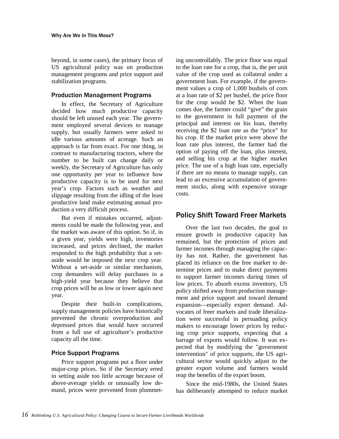beyond, in some cases), the primary focus of US agricultural policy was on production management programs and price support and stabilization programs.

### Production Management Programs

In effect, the Secretary of Agriculture decided how much productive capacity should be left unused each year. The government employed several devices to manage supply, but usually farmers were asked to idle various amounts of acreage. Such an approach is far from exact. For one thing, in contrast to manufacturing tractors, where the number to be built can change daily or weekly, the Secretary of Agriculture has only one opportunity per year to influence how productive capacity is to be used for next year's crop. Factors such as weather and slippage resulting from the idling of the least productive land make estimating annual production a very difficult process.

But even if mistakes occurred, adjustments could be made the following year, and the market was aware of this option. So if, in a given year, yields were high, inventories increased, and prices declined, the market responded to the high probability that a setaside would be imposed the next crop year. Without a set-aside or similar mechanism, crop demanders will delay purchases in a high-yield year because they believe that crop prices will be as low or lower again next year.

Despite their built-in complications, supply management policies have historically prevented the chronic overproduction and depressed prices that would have occurred from a full use of agriculture's productive capacity all the time.

### Price Support Programs

Price support programs put a floor under major-crop prices. So if the Secretary erred in setting aside too little acreage because of above-average yields or unusually low demand, prices were prevented from plummeting uncontrollably. The price floor was equal to the loan rate for a crop, that is, the per unit value of the crop used as collateral under a government loan. For example, if the government values a crop of 1,000 bushels of corn at a loan rate of \$2 per bushel, the price floor for the crop would be \$2. When the loan comes due, the farmer could "give" the grain to the government in full payment of the principal and interest on his loan, thereby receiving the \$2 loan rate as the "price" for his crop. If the market price were above the loan rate plus interest, the farmer had the option of paying off the loan, plus interest, and selling his crop at the higher market price. The use of a high loan rate, especially if there are no means to manage supply, can lead to an excessive accumulation of government stocks, along with expensive storage costs.

### Policy Shift Toward Freer Markets

Over the last two decades, the goal to ensure growth in productive capacity has remained, but the protection of prices and farmer incomes through managing the capacity has not. Rather, the government has placed its reliance on the free market to determine prices and to make direct payments to support farmer incomes during times of low prices. To absorb excess inventory, US policy shifted away from production management and price support and toward demand expansion—especially export demand. Advocates of freer markets and trade liberalization were successful in persuading policy makers to encourage lower prices by reducing crop price supports, expecting that a barrage of exports would follow. It was expected that by modifying the "government intervention" of price supports, the US agricultural sector would quickly adjust to the greater export volume and farmers would reap the benefits of the export boom.

Since the mid-1980s, the United States has deliberately attempted to reduce market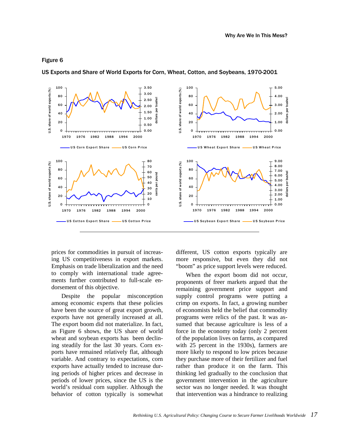#### Figure 6



US Exports and Share of World Exports for Corn, Wheat, Cotton, and Soybeans, 1970-2001

prices for commodities in pursuit of increasing US competitiveness in export markets. Emphasis on trade liberalization and the need to comply with international trade agreements further contributed to full-scale endorsement of this objective.

Despite the popular misconception among economic experts that these policies have been the source of great export growth, exports have not generally increased at all. The export boom did not materialize. In fact, as Figure 6 shows, the US share of world wheat and soybean exports has been declining steadily for the last 30 years. Corn exports have remained relatively flat, although variable. And contrary to expectations, corn exports have actually tended to increase during periods of higher prices and decrease in periods of lower prices, since the US is the world's residual corn supplier. Although the behavior of cotton typically is somewhat different, US cotton exports typically are more responsive, but even they did not "boom" as price support levels were reduced.

When the export boom did not occur, proponents of freer markets argued that the remaining government price support and supply control programs were putting a crimp on exports. In fact, a growing number of economists held the belief that commodity programs were relics of the past. It was assumed that because agriculture is less of a force in the economy today (only 2 percent of the population lives on farms, as compared with 25 percent in the 1930s), farmers are more likely to respond to low prices because they purchase more of their fertilizer and fuel rather than produce it on the farm. This thinking led gradually to the conclusion that government intervention in the agriculture sector was no longer needed. It was thought that intervention was a hindrance to realizing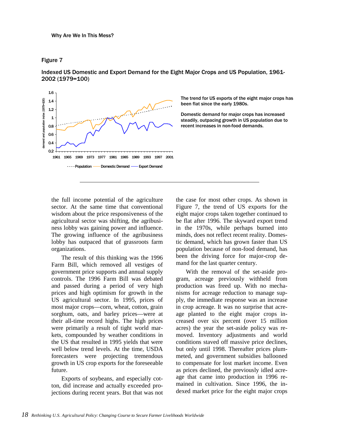



Indexed US Domestic and Export Demand for the Eight Major Crops and US Population, 1961- 2002 (1979=100)

> The trend for US exports of the eight major crops has been flat since the early 1980s.

Domestic demand for major crops has increased steadily, outpacing growth in US population due to recent increases in non-food demands.

the full income potential of the agriculture sector. At the same time that conventional wisdom about the price responsiveness of the agricultural sector was shifting, the agribusiness lobby was gaining power and influence. The growing influence of the agribusiness lobby has outpaced that of grassroots farm organizations.

The result of this thinking was the 1996 Farm Bill, which removed all vestiges of government price supports and annual supply controls. The 1996 Farm Bill was debated and passed during a period of very high prices and high optimism for growth in the US agricultural sector. In 1995, prices of most major crops—corn, wheat, cotton, grain sorghum, oats, and barley prices—were at their all-time record highs. The high prices were primarily a result of tight world markets, compounded by weather conditions in the US that resulted in 1995 yields that were well below trend levels. At the time, USDA forecasters were projecting tremendous growth in US crop exports for the foreseeable future.

Exports of soybeans, and especially cotton, did increase and actually exceeded projections during recent years. But that was not the case for most other crops. As shown in Figure 7, the trend of US exports for the eight major crops taken together continued to be flat after 1996. The skyward export trend in the 1970s, while perhaps burned into minds, does not reflect recent reality. Domestic demand, which has grown faster than US population because of non-food demand, has been the driving force for major-crop demand for the last quarter century.

With the removal of the set-aside program, acreage previously withheld from production was freed up. With no mechanisms for acreage reduction to manage supply, the immediate response was an increase in crop acreage. It was no surprise that acreage planted to the eight major crops increased over six percent (over 15 million acres) the year the set-aside policy was removed. Inventory adjustments and world conditions staved off massive price declines, but only until 1998. Thereafter prices plummeted, and government subsidies ballooned to compensate for lost market income. Even as prices declined, the previously idled acreage that came into production in 1996 remained in cultivation. Since 1996, the indexed market price for the eight major crops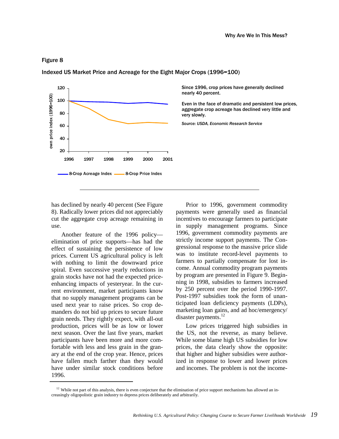

### Figure 8

Indexed US Market Price and Acreage for the Eight Major Crops (1996=100)

has declined by nearly 40 percent (See Figure 8). Radically lower prices did not appreciably cut the aggregate crop acreage remaining in use.

Another feature of the 1996 policy elimination of price supports—has had the effect of sustaining the persistence of low prices. Current US agricultural policy is left with nothing to limit the downward price spiral. Even successive yearly reductions in grain stocks have not had the expected priceenhancing impacts of yesteryear. In the current environment, market participants know that no supply management programs can be used next year to raise prices. So crop demanders do not bid up prices to secure future grain needs. They rightly expect, with all-out production, prices will be as low or lower next season. Over the last five years, market participants have been more and more comfortable with less and less grain in the granary at the end of the crop year. Hence, prices have fallen much farther than they would have under similar stock conditions before 1996.

Prior to 1996, government commodity payments were generally used as financial incentives to encourage farmers to participate in supply management programs. Since 1996, government commodity payments are strictly income support payments. The Congressional response to the massive price slide was to institute record-level payments to farmers to partially compensate for lost income. Annual commodity program payments by program are presented in Figure 9. Beginning in 1998, subsidies to farmers increased by 250 percent over the period 1990-1997. Post-1997 subsidies took the form of unanticipated loan deficiency payments (LDPs), marketing loan gains, and ad hoc/emergency/ disaster payments.<sup>12</sup>

Low prices triggered high subsidies in the US, not the reverse, as many believe. While some blame high US subsidies for low prices, the data clearly show the opposite: that higher and higher subsidies were authorized in response to lower and lower prices and incomes. The problem is not the income-

 $12$  While not part of this analysis, there is even conjecture that the elimination of price support mechanisms has allowed an increasingly oligopolistic grain industry to depress prices deliberately and arbitrarily.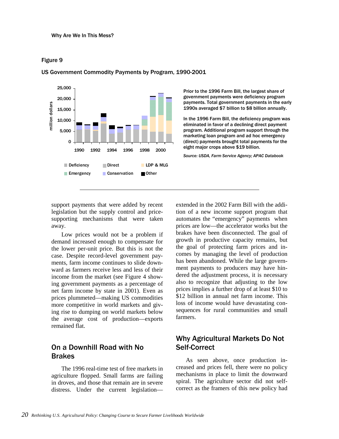Figure 9



### US Government Commodity Payments by Program, 1990-2001

Prior to the 1996 Farm Bill, the largest share of government payments were deficiency program payments. Total government payments in the early 1990s averaged \$7 billion to \$8 billion annually.

In the 1996 Farm Bill, the deficiency program was eliminated in favor of a declining direct payment program. Additional program support through the marketing loan program and ad hoc emergency (direct) payments brought total payments for the eight major crops above \$19 billion.

*Source: USDA, Farm Service Agency; APAC Databook*

support payments that were added by recent legislation but the supply control and pricesupporting mechanisms that were taken away.

Low prices would not be a problem if demand increased enough to compensate for the lower per-unit price. But this is not the case. Despite record-level government payments, farm income continues to slide downward as farmers receive less and less of their income from the market (see Figure 4 showing government payments as a percentage of net farm income by state in 2001). Even as prices plummeted—making US commodities more competitive in world markets and giving rise to dumping on world markets below the average cost of production—exports remained flat.

### On a Downhill Road with No Brakes

The 1996 real-time test of free markets in agriculture flopped. Small farms are failing in droves, and those that remain are in severe distress. Under the current legislationextended in the 2002 Farm Bill with the addition of a new income support program that automates the "emergency" payments when prices are low—the accelerator works but the brakes have been disconnected. The goal of growth in productive capacity remains, but the goal of protecting farm prices and incomes by managing the level of production has been abandoned. While the large government payments to producers may have hindered the adjustment process, it is necessary also to recognize that adjusting to the low prices implies a further drop of at least \$10 to \$12 billion in annual net farm income. This loss of income would have devastating consequences for rural communities and small farmers.

### Why Agricultural Markets Do Not Self-Correct

As seen above, once production increased and prices fell, there were no policy mechanisms in place to limit the downward spiral. The agriculture sector did not selfcorrect as the framers of this new policy had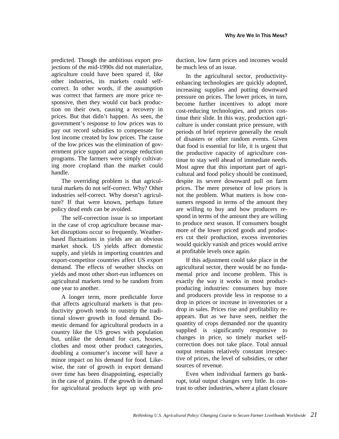predicted. Though the ambitious export projections of the mid-1990s did not materialize, agriculture could have been spared if, like other industries, its markets could selfcorrect. In other words, if the assumption was correct that farmers are more price responsive, then they would cut back production on their own, causing a recovery in prices. But that didn't happen. As seen, the government's response to low prices was to pay out record subsidies to compensate for lost income created by low prices. The cause of the low prices was the elimination of government price support and acreage reduction programs. The farmers were simply cultivating more cropland than the market could handle.

The overriding problem is that agricultural markets do not self-correct. Why? Other industries self-correct. Why doesn't agriculture? If that were known, perhaps future policy dead ends can be avoided.

The self-correction issue is so important in the case of crop agriculture because market disruptions occur so frequently. Weatherbased fluctuations in yields are an obvious market shock. US yields affect domestic supply, and yields in importing countries and export-competitor countries affect US export demand. The effects of weather shocks on yields and most other short-run influences on agricultural markets tend to be random from one year to another.

A longer term, more predictable force that affects agricultural markets is that productivity growth tends to outstrip the traditional slower growth in food demand. Domestic demand for agricultural products in a country like the US grows with population but, unlike the demand for cars, houses, clothes and most other product categories, doubling a consumer's income will have a minor impact on his demand for food. Likewise, the rate of growth in export demand over time has been disappointing, especially in the case of grains. If the growth in demand for agricultural products kept up with pro-

duction, low farm prices and incomes would be much less of an issue.

In the agricultural sector, productivityenhancing technologies are quickly adopted, increasing supplies and putting downward pressure on prices. The lower prices, in turn, become further incentives to adopt more cost-reducing technologies, and prices continue their slide. In this way, production agriculture is under constant price pressure, with periods of brief reprieve generally the result of disasters or other random events. Given that food is essential for life, it is urgent that the productive capacity of agriculture continue to stay well ahead of immediate needs. Most agree that this important part of agricultural and food policy should be continued, despite its severe downward pull on farm prices. The mere presence of low prices is not the problem. What matters is how consumers respond in terms of the amount they are willing to buy and how producers respond in terms of the amount they are willing to produce next season. If consumers bought more of the lower priced goods and producers cut their production, excess inventories would quickly vanish and prices would arrive at profitable levels once again.

If this adjustment could take place in the agricultural sector, there would be no fundamental price and income problem. This is exactly the way it works in most productproducing industries: consumers buy more and producers provide less in response to a drop in prices or increase in inventories or a drop in sales. Prices rise and profitability reappears. But as we have seen, neither the quantity of crops demanded nor the quantity supplied is significantly responsive to changes in price, so timely market selfcorrection does not take place. Total annual output remains relatively constant irrespective of prices, the level of subsidies, or other sources of revenue.

Even when individual farmers go bankrupt, total output changes very little. In contrast to other industries, where a plant closure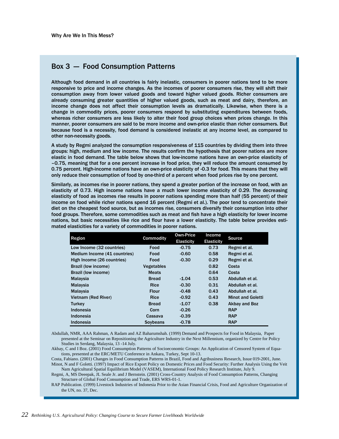### Box 3 — Food Consumption Patterns

Although food demand in all countries is fairly inelastic, consumers in poorer nations tend to be more responsive to price and income changes. As the incomes of poorer consumers rise, they will shift their consumption away from lower valued goods and toward higher valued goods. Richer consumers are already consuming greater quantities of higher valued goods, such as meat and dairy, therefore, an income change does not affect their consumption levels as dramatically. Likewise, when there is a change in commodity prices, poorer consumers respond by substituting expenditures between foods, whereas richer consumers are less likely to alter their food group choices when prices change. In this manner, poorer consumers are said to be more income and own-price elastic than richer consumers. But because food is a necessity, food demand is considered inelastic at any income level, as compared to other non-necessity goods.

A study by Regmi analyzed the consumption responsiveness of 115 countries by dividing them into three groups: high, medium and low income. The results confirm the hypothesis that poorer nations are more elastic in food demand. The table below shows that low-income nations have an own-price elasticity of –0.75, meaning that for a one percent increase in food price, they will reduce the amount consumed by 0.75 percent. High-income nations have an own-price elasticity of -0.3 for food. This means that they will only reduce their consumption of food by one-third of a percent when food prices rise by one percent.

Similarly, as incomes rise in poorer nations, they spend a greater portion of the increase on food, with an elasticity of 0.73. High income nations have a much lower income elasticity of 0.29. The decreasing elasticity of food as incomes rise results in poorer nations spending more than half (55 percent) of their income on food while richer nations spend 16 percent (Regmi et al.). The poor tend to concentrate their diet on the cheapest food source, but as incomes rise, consumers diversify their consumption into other food groups. Therefore, some commodities such as meat and fish have a high elasticity for lower income nations, but basic necessities like rice and flour have a lower elasticity. The table below provides estimated elasticities for a variety of commodities in poorer nations.

| Region                       | Commodity         | <b>Own-Price</b>  | Income            | <b>Source</b>            |
|------------------------------|-------------------|-------------------|-------------------|--------------------------|
|                              |                   | <b>Elasticity</b> | <b>Elasticity</b> |                          |
| Low Income (32 countries)    | Food              | $-0.75$           | 0.73              | Regmi et al.             |
| Medium Income (41 countries) | Food              | $-0.60$           | 0.58              | Regmi et al.             |
| High Income (26 countries)   | Food              | $-0.30$           | 0.29              | Regmi et al.             |
| Brazil (low income)          | <b>Vegetables</b> |                   | 0.82              | Costa                    |
| Brazil (low income)          | <b>Meats</b>      |                   | 0.64              | Costa                    |
| <b>Malaysia</b>              | <b>Bread</b>      | $-1.04$           | 0.53              | Abdullah et al.          |
| <b>Malaysia</b>              | Rice              | $-0.30$           | 0.31              | Abdullah et al.          |
| <b>Malaysia</b>              | <b>Flour</b>      | $-0.48$           | 0.43              | Abdullah et al.          |
| Vietnam (Red River)          | <b>Rice</b>       | $-0.92$           | 0.43              | <b>Minot and Goletti</b> |
| <b>Turkey</b>                | <b>Bread</b>      | $-1.07$           | 0.38              | <b>Akbay and Boz</b>     |
| Indonesia                    | Corn              | $-0.26$           |                   | <b>RAP</b>               |
| Indonesia                    | Cassava           | $-0.39$           |                   | <b>RAP</b>               |
| Indonesia                    | <b>Soybeans</b>   | $-0.78$           |                   | <b>RAP</b>               |

Abdullah, NMR, AAA Rahman, A Radam and AZ Baharumshah. (1999) Demand and Prospects for Food in Malaysia, Paper presented at the Seminar on Repositioning the Agriculture Industry in the Next Millennium, organized by Centre for Policy Studies in Serdang, Malaysia, 13 -14 July.

Akbay, C and I Boz. (2001) Food Consumption Patterns of Socioeconomic Groups: An Application of Censored System of Equations, presented at the ERC/METU Conference in Ankara, Turkey, Sept 10-13.

Costa, Fabiano. (2001) Changes in Food Consumption Patterns in Brazil, Food and Agribusiness Research, Issue 019-2001, June. Minot, N and F Goletti. (1997) Impact of Rice Export Policy on Domestic Prices and Food Security: Further Analysis Using the Veit Nam Agricultural Spatial Equilibrium Model (VASEM), International Food Policy Research Institute, July 9.

Regmi, A, MS Deeepak, JL Seale Jr. and J Bernstein. (2001) Cross-Country Analysis of Food Consumption Patterns, Changing Structure of Global Food Consumption and Trade, ERS WRS-01-1.

RAP Publication. (1999) Livestock Industries of Indonesia Prior to the Asian Financial Crisis, Food and Agriculture Organization of the UN, no. 37, Dec.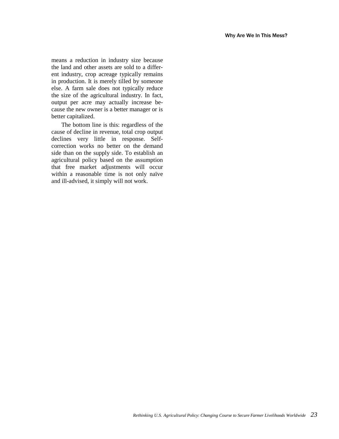means a reduction in industry size because the land and other assets are sold to a different industry, crop acreage typically remains in production. It is merely tilled by someone else. A farm sale does not typically reduce the size of the agricultural industry. In fact, output per acre may actually increase because the new owner is a better manager or is better capitalized.

The bottom line is this: regardless of the cause of decline in revenue, total crop output declines very little in response. Selfcorrection works no better on the demand side than on the supply side. To establish an agricultural policy based on the assumption that free market adjustments will occur within a reasonable time is not only naïve and ill-advised, it simply will not work.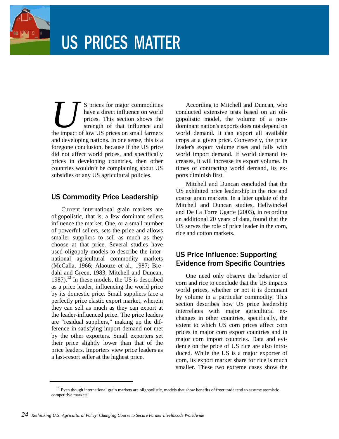

### US PRICES MATTER

S prices for major commodities<br>have a direct influence on world<br>prices. This section shows the<br>strength of that influence and<br>the impact of low US prices on small farmers have a direct influence on world prices. This section shows the strength of that influence and and developing nations. In one sense, this is a foregone conclusion, because if the US price did not affect world prices, and specifically prices in developing countries, then other countries wouldn't be complaining about US subsidies or any US agricultural policies.

### US Commodity Price Leadership

Current international grain markets are oligopolistic, that is, a few dominant sellers influence the market. One, or a small number of powerful sellers, sets the price and allows smaller suppliers to sell as much as they choose at that price. Several studies have used oligopoly models to describe the international agricultural commodity markets (McCalla, 1966; Alaouze et al., 1987; Bredahl and Green, 1983; Mitchell and Duncan, 1987).13 In these models, the US is described as a price leader, influencing the world price by its domestic price. Small suppliers face a perfectly price elastic export market, wherein they can sell as much as they can export at the leader-influenced price. The price leaders are "residual suppliers," making up the difference in satisfying import demand not met by the other exporters. Small exporters set their price slightly lower than that of the price leaders. Importers view price leaders as a last-resort seller at the highest price.

According to Mitchell and Duncan, who conducted extensive tests based on an oligopolistic model, the volume of a nondominant nation's exports does not depend on world demand. It can export all available crops at a given price. Conversely, the price leader's export volume rises and falls with world import demand. If world demand increases, it will increase its export volume. In times of contracting world demand, its exports diminish first.

Mitchell and Duncan concluded that the US exhibited price leadership in the rice and coarse grain markets. In a later update of the Mitchell and Duncan studies, Hellwinckel and De La Torre Ugarte (2003), in recording an additional 20 years of data, found that the US serves the role of price leader in the corn, rice and cotton markets.

### US Price Influence: Supporting Evidence from Specific Countries

One need only observe the behavior of corn and rice to conclude that the US impacts world prices, whether or not it is dominant by volume in a particular commodity. This section describes how US price leadership interrelates with major agricultural exchanges in other countries, specifically, the extent to which US corn prices affect corn prices in major corn export countries and in major corn import countries. Data and evidence on the price of US rice are also introduced. While the US is a major exporter of corn, its export market share for rice is much smaller. These two extreme cases show the

<sup>&</sup>lt;sup>13</sup> Even though international grain markets are oligopolistic, models that show benefits of freer trade tend to assume atomistic competitive markets.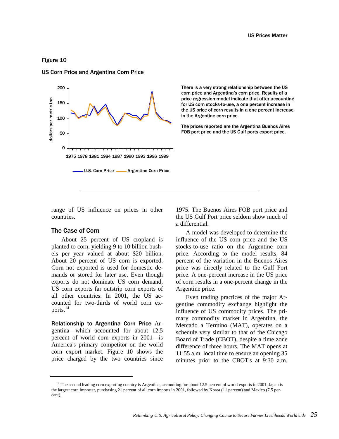#### Figure 10



US Corn Price and Argentina Corn Price

There is a very strong relationship between the US corn price and Argentina's corn price. Results of a price regression model indicate that after accounting for US corn stocks-to-use, a one percent increase in the US price of corn results in a one percent increase in the Argentine corn price.

The prices reported are the Argentina Buenos Aires FOB port price and the US Gulf ports export price.

range of US influence on prices in other countries.

### The Case of Corn

About 25 percent of US cropland is planted to corn, yielding 9 to 10 billion bushels per year valued at about \$20 billion. About 20 percent of US corn is exported. Corn not exported is used for domestic demands or stored for later use. Even though exports do not dominate US corn demand, US corn exports far outstrip corn exports of all other countries. In 2001, the US accounted for two-thirds of world corn exports.<sup>14</sup>

Relationship to Argentina Corn Price Argentina—which accounted for about 12.5 percent of world corn exports in 2001—is America's primary competitor on the world corn export market. Figure 10 shows the price charged by the two countries since

1975. The Buenos Aires FOB port price and the US Gulf Port price seldom show much of a differential.

A model was developed to determine the influence of the US corn price and the US stocks-to-use ratio on the Argentine corn price. According to the model results, 84 percent of the variation in the Buenos Aires price was directly related to the Gulf Port price. A one-percent increase in the US price of corn results in a one-percent change in the Argentine price.

Even trading practices of the major Argentine commodity exchange highlight the influence of US commodity prices. The primary commodity market in Argentina, the Mercado a Termino (MAT), operates on a schedule very similar to that of the Chicago Board of Trade (CBOT), despite a time zone difference of three hours. The MAT opens at 11:55 a.m. local time to ensure an opening 35 minutes prior to the CBOT's at 9:30 a.m.

<sup>&</sup>lt;sup>14</sup> The second leading corn exporting country is Argentina, accounting for about 12.5 percent of world exports in 2001. Japan is the largest corn importer, purchasing 21 percent of all corn imports in 2001, followed by Korea (11 percent) and Mexico (7.5 percent).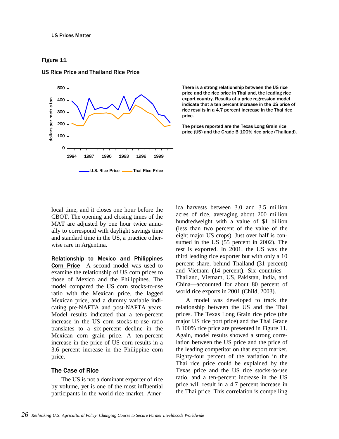### Figure 11



US Rice Price and Thailand Rice Price

There is a strong relationship between the US rice price and the rice price in Thailand, the leading rice export country. Results of a price regression model indicate that a ten percent increase in the US price of rice results in a 4.7 percent increase in the Thai rice price.

The prices reported are the Texas Long Grain rice price (US) and the Grade B 100% rice price (Thailand).

local time, and it closes one hour before the CBOT. The opening and closing times of the MAT are adjusted by one hour twice annually to correspond with daylight savings time and standard time in the US, a practice otherwise rare in Argentina.

Relationship to Mexico and Philippines Corn Price A second model was used to examine the relationship of US corn prices to those of Mexico and the Philippines. The model compared the US corn stocks-to-use ratio with the Mexican price, the lagged Mexican price, and a dummy variable indicating pre-NAFTA and post-NAFTA years. Model results indicated that a ten-percent increase in the US corn stocks-to-use ratio translates to a six-percent decline in the Mexican corn grain price. A ten-percent increase in the price of US corn results in a 3.6 percent increase in the Philippine corn price.

### The Case of Rice

The US is not a dominant exporter of rice by volume, yet is one of the most influential participants in the world rice market. America harvests between 3.0 and 3.5 million acres of rice, averaging about 200 million hundredweight with a value of \$1 billion (less than two percent of the value of the eight major US crops). Just over half is consumed in the US (55 percent in 2002). The rest is exported. In 2001, the US was the third leading rice exporter but with only a 10 percent share, behind Thailand (31 percent) and Vietnam (14 percent). Six countries— Thailand, Vietnam, US, Pakistan, India, and China—accounted for about 80 percent of world rice exports in 2001 (Child, 2003).

A model was developed to track the relationship between the US and the Thai prices. The Texas Long Grain rice price (the major US rice port price) and the Thai Grade B 100% rice price are presented in Figure 11. Again, model results showed a strong correlation between the US price and the price of the leading competitor on that export market. Eighty-four percent of the variation in the Thai rice price could be explained by the Texas price and the US rice stocks-to-use ratio, and a ten-percent increase in the US price will result in a 4.7 percent increase in the Thai price. This correlation is compelling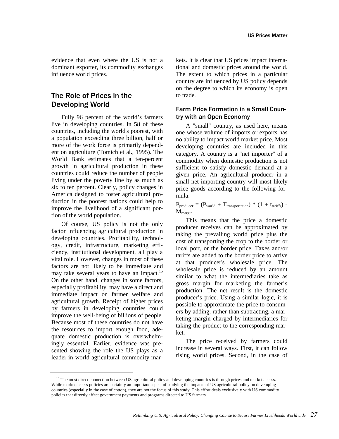evidence that even where the US is not a dominant exporter, its commodity exchanges influence world prices.

### The Role of Prices in the Developing World

Fully 96 percent of the world's farmers live in developing countries. In 58 of these countries, including the world's poorest, with a population exceeding three billion, half or more of the work force is primarily dependent on agriculture (Tomich et al., 1995). The World Bank estimates that a ten-percent growth in agricultural production in these countries could reduce the number of people living under the poverty line by as much as six to ten percent. Clearly, policy changes in America designed to foster agricultural production in the poorest nations could help to improve the livelihood of a significant portion of the world population.

Of course, US policy is not the only factor influencing agricultural production in developing countries. Profitability, technology, credit, infrastructure, marketing efficiency, institutional development, all play a vital role. However, changes in most of these factors are not likely to be immediate and may take several years to have an impact.<sup>15</sup> On the other hand, changes in some factors, especially profitability, may have a direct and immediate impact on farmer welfare and agricultural growth. Receipt of higher prices by farmers in developing countries could improve the well-being of billions of people. Because most of these countries do not have the resources to import enough food, adequate domestic production is overwhelmingly essential. Earlier, evidence was presented showing the role the US plays as a leader in world agricultural commodity markets. It is clear that US prices impact international and domestic prices around the world. The extent to which prices in a particular country are influenced by US policy depends on the degree to which its economy is open to trade.

### Farm Price Formation in a Small Country with an Open Economy

A "small" country, as used here, means one whose volume of imports or exports has no ability to impact world market price. Most developing countries are included in this category. A country is a "net importer" of a commodity when domestic production is not sufficient to satisfy domestic demand at a given price. An agricultural producer in a small net importing country will most likely price goods according to the following formula:

 $P_{\text{producer}} = (P_{\text{world}} + T_{\text{transportation}}) * (1 + t_{\text{tariffs}}) M<sub>margin</sub>$ 

This means that the price a domestic producer receives can be approximated by taking the prevailing world price plus the cost of transporting the crop to the border or local port, or the border price. Taxes and/or tariffs are added to the border price to arrive at that producer's wholesale price. The wholesale price is reduced by an amount similar to what the intermediaries take as gross margin for marketing the farmer's production. The net result is the domestic producer's price. Using a similar logic, it is possible to approximate the price to consumers by adding, rather than subtracting, a marketing margin charged by intermediaries for taking the product to the corresponding market.

The price received by farmers could increase in several ways. First, it can follow rising world prices. Second, in the case of

<sup>&</sup>lt;sup>15</sup> The most direct connection between US agricultural policy and developing countries is through prices and market access. While market access policies are certainly an important aspect of studying the impacts of US agricultural policy on developing countries (especially in the case of cotton), they are not the focus of this study. This effort deals exclusively with US commodity policies that directly affect government payments and programs directed to US farmers.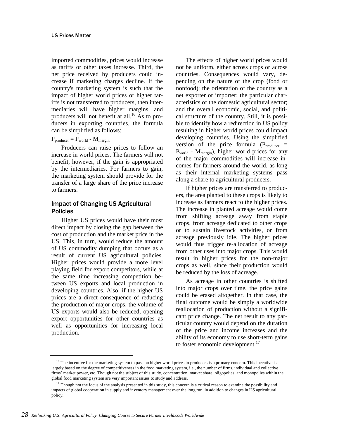imported commodities, prices would increase as tariffs or other taxes increase. Third, the net price received by producers could increase if marketing charges decline. If the country's marketing system is such that the impact of higher world prices or higher tariffs is not transferred to producers, then intermediaries will have higher margins, and producers will not benefit at all.16 As to producers in exporting countries, the formula can be simplified as follows:

### $P_{\text{producer}} = P_{\text{world}} - M_{\text{margin}}$

Producers can raise prices to follow an increase in world prices. The farmers will not benefit, however, if the gain is appropriated by the intermediaries. For farmers to gain, the marketing system should provide for the transfer of a large share of the price increase to farmers.

### Impact of Changing US Agricultural **Policies**

Higher US prices would have their most direct impact by closing the gap between the cost of production and the market price in the US. This, in turn, would reduce the amount of US commodity dumping that occurs as a result of current US agricultural policies. Higher prices would provide a more level playing field for export competitors, while at the same time increasing competition between US exports and local production in developing countries. Also, if the higher US prices are a direct consequence of reducing the production of major crops, the volume of US exports would also be reduced, opening export opportunities for other countries as well as opportunities for increasing local production.

The effects of higher world prices would not be uniform, either across crops or across countries. Consequences would vary, depending on the nature of the crop (food or nonfood); the orientation of the country as a net exporter or importer; the particular characteristics of the domestic agricultural sector; and the overall economic, social, and political structure of the country. Still, it is possible to identify how a redirection in US policy resulting in higher world prices could impact developing countries. Using the simplified version of the price formula ( $P_{\text{producer}}$  =  $P_{world}$  -  $M_{margin}$ , higher world prices for any of the major commodities will increase incomes for farmers around the world, as long as their internal marketing systems pass along a share to agricultural producers.

If higher prices are transferred to producers, the area planted to these crops is likely to increase as farmers react to the higher prices. The increase in planted acreage would come from shifting acreage away from staple crops, from acreage dedicated to other crops or to sustain livestock activities, or from acreage previously idle. The higher prices would thus trigger re-allocation of acreage from other uses into major crops. This would result in higher prices for the non-major crops as well, since their production would be reduced by the loss of acreage.

As acreage in other countries is shifted into major crops over time, the price gains could be erased altogether. In that case, the final outcome would be simply a worldwide reallocation of production without a significant price change. The net result to any particular country would depend on the duration of the price and income increases and the ability of its economy to use short-term gains to foster economic development.<sup>17</sup>

<sup>&</sup>lt;sup>16</sup> The incentive for the marketing system to pass on higher world prices to producers is a primary concern. This incentive is largely based on the degree of competitiveness in the food marketing system, i.e., the number of firms, individual and collective firms' market power, etc. Though not the subject of this study, concentration, market share, oligopolies, and monopolies within the global food marketing system are very important issues to study and address.

 $17$  Though not the focus of the analysis presented in this study, this concern is a critical reason to examine the possibility and impacts of global cooperation in supply and inventory management over the long run, in addition to changes in US agricultural policy.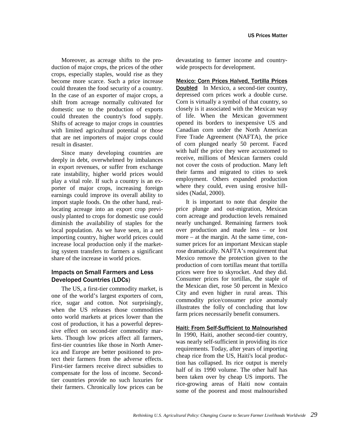Moreover, as acreage shifts to the production of major crops, the prices of the other crops, especially staples, would rise as they become more scarce. Such a price increase could threaten the food security of a country. In the case of an exporter of major crops, a shift from acreage normally cultivated for domestic use to the production of exports could threaten the country's food supply. Shifts of acreage to major crops in countries with limited agricultural potential or those that are net importers of major crops could result in disaster.

Since many developing countries are deeply in debt, overwhelmed by imbalances in export revenues, or suffer from exchange rate instability, higher world prices would play a vital role. If such a country is an exporter of major crops, increasing foreign earnings could improve its overall ability to import staple foods. On the other hand, reallocating acreage into an export crop previously planted to crops for domestic use could diminish the availability of staples for the local population. As we have seen, in a net importing country, higher world prices could increase local production only if the marketing system transfers to farmers a significant share of the increase in world prices.

### Impacts on Small Farmers and Less Developed Countries (LDCs)

The US, a first-tier commodity market, is one of the world's largest exporters of corn, rice, sugar and cotton. Not surprisingly, when the US releases those commodities onto world markets at prices lower than the cost of production, it has a powerful depressive effect on second-tier commodity markets. Though low prices affect all farmers, first-tier countries like those in North America and Europe are better positioned to protect their farmers from the adverse effects. First-tier farmers receive direct subsidies to compensate for the loss of income. Secondtier countries provide no such luxuries for their farmers. Chronically low prices can be devastating to farmer income and countrywide prospects for development.

Mexico: Corn Prices Halved, Tortilla Prices Doubled In Mexico, a second-tier country, depressed corn prices work a double curse. Corn is virtually a symbol of that country, so closely is it associated with the Mexican way of life. When the Mexican government opened its borders to inexpensive US and Canadian corn under the North American Free Trade Agreement (NAFTA), the price of corn plunged nearly 50 percent. Faced with half the price they were accustomed to receive, millions of Mexican farmers could not cover the costs of production. Many left their farms and migrated to cities to seek employment. Others expanded production where they could, even using erosive hillsides (Nadal, 2000).

It is important to note that despite the price plunge and out-migration, Mexican corn acreage and production levels remained nearly unchanged. Remaining farmers took over production and made less – or lost more – at the margin. At the same time, consumer prices for an important Mexican staple rose dramatically. NAFTA's requirement that Mexico remove the protection given to the production of corn tortillas meant that tortilla prices were free to skyrocket. And they did. Consumer prices for tortillas, the staple of the Mexican diet, rose 50 percent in Mexico City and even higher in rural areas. This commodity price/consumer price anomaly illustrates the folly of concluding that low farm prices necessarily benefit consumers.

### Haiti: From Self-Sufficient to Malnourished

In 1990, Haiti, another second-tier country, was nearly self-sufficient in providing its rice requirements. Today, after years of importing cheap rice from the US, Haiti's local production has collapsed. Its rice output is merely half of its 1990 volume. The other half has been taken over by cheap US imports. The rice-growing areas of Haiti now contain some of the poorest and most malnourished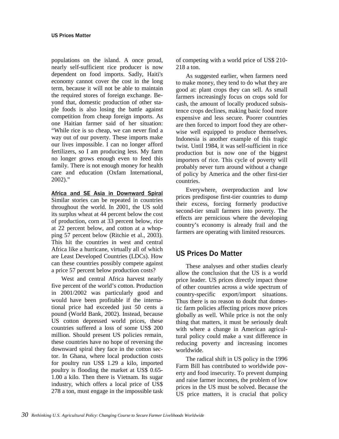populations on the island. A once proud, nearly self-sufficient rice producer is now dependent on food imports. Sadly, Haiti's economy cannot cover the cost in the long term, because it will not be able to maintain the required stores of foreign exchange. Beyond that, domestic production of other staple foods is also losing the battle against competition from cheap foreign imports. As one Haitian farmer said of her situation: "While rice is so cheap, we can never find a way out of our poverty. These imports make our lives impossible. I can no longer afford fertilizers, so I am producing less. My farm no longer grows enough even to feed this family. There is not enough money for health care and education (Oxfam International, 2002)."

Africa and SE Asia in Downward Spiral Similar stories can be repeated in countries throughout the world. In 2001, the US sold its surplus wheat at 44 percent below the cost of production, corn at 33 percent below, rice at 22 percent below, and cotton at a whopping 57 percent below (Ritchie et al., 2003). This hit the countries in west and central Africa like a hurricane, virtually all of which are Least Developed Countries (LDCs). How can these countries possibly compete against a price 57 percent below production costs?

West and central Africa harvest nearly five percent of the world's cotton. Production in 2001/2002 was particularly good and would have been profitable if the international price had exceeded just 50 cents a pound (World Bank, 2002). Instead, because US cotton depressed world prices, these countries suffered a loss of some US\$ 200 million. Should present US policies remain, these countries have no hope of reversing the downward spiral they face in the cotton sector. In Ghana, where local production costs for poultry run US\$ 1.29 a kilo, imported poultry is flooding the market at US\$ 0.65- 1.00 a kilo. Then there is Vietnam. Its sugar industry, which offers a local price of US\$ 278 a ton, must engage in the impossible task of competing with a world price of US\$ 210- 218 a ton.

As suggested earlier, when farmers need to make money, they tend to do what they are good at: plant crops they can sell. As small farmers increasingly focus on crops sold for cash, the amount of locally produced subsistence crops declines, making basic food more expensive and less secure. Poorer countries are then forced to import food they are otherwise well equipped to produce themselves. Indonesia is another example of this tragic twist. Until 1984, it was self-sufficient in rice production but is now one of the biggest importers of rice. This cycle of poverty will probably never turn around without a change of policy by America and the other first-tier countries.

Everywhere, overproduction and low prices predispose first-tier countries to dump their excess, forcing formerly productive second-tier small farmers into poverty. The effects are pernicious where the developing country's economy is already frail and the farmers are operating with limited resources.

### US Prices Do Matter

These analyses and other studies clearly allow the conclusion that the US is a world price leader. US prices directly impact those of other countries across a wide spectrum of country-specific export/import situations. Thus there is no reason to doubt that domestic farm policies affecting prices move prices globally as well. While price is not the only thing that matters, it must be seriously dealt with where a change in American agricultural policy could make a vast difference in reducing poverty and increasing incomes worldwide.

The radical shift in US policy in the 1996 Farm Bill has contributed to worldwide poverty and food insecurity. To prevent dumping and raise farmer incomes, the problem of low prices in the US must be solved. Because the US price matters, it is crucial that policy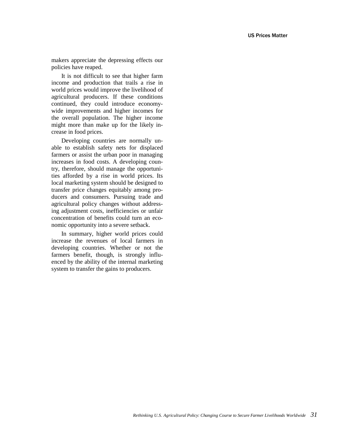makers appreciate the depressing effects our policies have reaped.

It is not difficult to see that higher farm income and production that trails a rise in world prices would improve the livelihood of agricultural producers. If these conditions continued, they could introduce economywide improvements and higher incomes for the overall population. The higher income might more than make up for the likely increase in food prices.

Developing countries are normally unable to establish safety nets for displaced farmers or assist the urban poor in managing increases in food costs. A developing country, therefore, should manage the opportunities afforded by a rise in world prices. Its local marketing system should be designed to transfer price changes equitably among producers and consumers. Pursuing trade and agricultural policy changes without addressing adjustment costs, inefficiencies or unfair concentration of benefits could turn an economic opportunity into a severe setback.

In summary, higher world prices could increase the revenues of local farmers in developing countries. Whether or not the farmers benefit, though, is strongly influenced by the ability of the internal marketing system to transfer the gains to producers.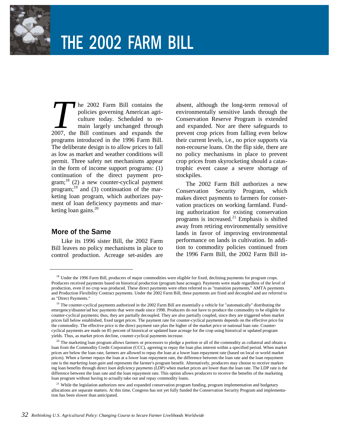

## THE 2002 FARM BILL

**The 2002 Farm Bill contains the policies governing American agriculture today. Scheduled to remain largely unchanged through 2007, the Bill continues and expands the** policies governing American agriculture today. Scheduled to remain largely unchanged through programs introduced in the 1996 Farm Bill. The deliberate design is to allow prices to fall as low as market and weather conditions will permit. Three safety net mechanisms appear in the form of income support programs: (1) continuation of the direct payment pro- $\gamma^{18}$  (2) a new counter-cyclical payment program; $^{19}$  and (3) continuation of the marketing loan program, which authorizes payment of loan deficiency payments and marketing loan gains. $^{20}$ 

### More of the Same

Like its 1996 sister Bill, the 2002 Farm Bill leaves no policy mechanisms in place to control production. Acreage set-asides are

absent, although the long-term removal of environmentally sensitive lands through the Conservation Reserve Program is extended and expanded. Nor are there safeguards to prevent crop prices from falling even below their current levels, i.e., no price supports via non-recourse loans. On the flip side, there are no policy mechanisms in place to prevent crop prices from skyrocketing should a catastrophic event cause a severe shortage of stockpiles.

The 2002 Farm Bill authorizes a new Conservation Security Program, which makes direct payments to farmers for conservation practices on working farmland. Funding authorization for existing conservation programs is increased. $^{21}$  Emphasis is shifted away from retiring environmentally sensitive lands in favor of improving environmental performance on lands in cultivation. In addition to commodity policies continued from the 1996 Farm Bill, the 2002 Farm Bill in-

<sup>&</sup>lt;sup>18</sup> Under the 1996 Farm Bill, producers of major commodities were eligible for fixed, declining payments for program crops. Producers received payments based on historical production (program base acreage). Payments were made regardless of the level of production, even if no crop was produced. These direct payments were often referred to as "transition payments," AMTA payments and Production Flexibility Contract payments. Under the 2002 Farm Bill, these payments are fixed and decoupled and are referred to as "Direct Payments."

<sup>&</sup>lt;sup>19</sup> The counter-cyclical payments authorized in the 2002 Farm Bill are essentially a vehicle for "automatically" distributing the emergency/disaster/ad hoc payments that were made since 1998. Producers do not have to produce the commodity to be eligible for counter-cyclical payments; thus, they are partially decoupled. They are also partially coupled, since they are triggered when market prices fall below established, fixed target prices. The payment rate for counter-cyclical payments depends on the effective price for the commodity. The effective price is the direct payment rate plus the higher of the market price or national loan rate. Countercyclical payments are made on 85 percent of historical or updated base acreage for the crop using historical or updated program yields. Thus, as market prices decline, counter-cyclical payments increase.

<sup>&</sup>lt;sup>20</sup> The marketing loan program allows farmers or processors to pledge a portion or all of the commodity as collateral and obtain a loan from the Commodity Credit Corporation (CCC), agreeing to repay the loan plus interest within a specified period. When market prices are below the loan rate, farmers are allowed to repay the loan at a lower loan repayment rate (based on local or world market prices). When a farmer repays the loan at a lower loan repayment rate, the difference between the loan rate and the loan repayment rate is the *marketing loan gain* and represents the farmer's program benefit. Alternatively, producers may choose to receive marketing loan benefits through direct *loan deficiency payments (LDP)* when market prices are lower than the loan rate. The LDP rate is the difference between the loan rate and the loan repayment rate. This option allows producers to receive the benefits of the marketing loan program without having to actually take out and repay commodity loans.

 $21$  While the legislation authorizes new and expanded conservation program funding, program implementation and budgetary allocations are separate matters. At this time, Congress has not yet fully funded the Conservation Security Program and implementation has been slower than anticipated.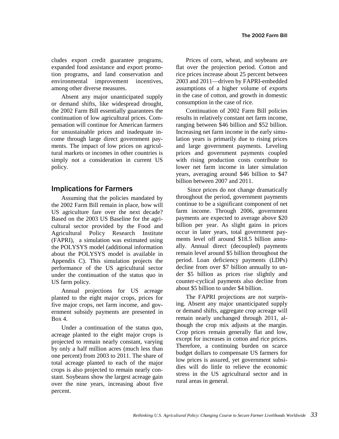cludes export credit guarantee programs, expanded food assistance and export promotion programs, and land conservation and environmental improvement incentives, among other diverse measures.

Absent any major unanticipated supply or demand shifts, like widespread drought, the 2002 Farm Bill essentially guarantees the continuation of low agricultural prices. Compensation will continue for American farmers for unsustainable prices and inadequate income through large direct government payments. The impact of low prices on agricultural markets or incomes in other countries is simply not a consideration in current US policy.

### Implications for Farmers

Assuming that the policies mandated by the 2002 Farm Bill remain in place, how will US agriculture fare over the next decade? Based on the 2003 US Baseline for the agricultural sector provided by the Food and Agricultural Policy Research Institute (FAPRI), a simulation was estimated using the POLYSYS model (additional information about the POLYSYS model is available in Appendix C). This simulation projects the performance of the US agricultural sector under the continuation of the status quo in US farm policy.

Annual projections for US acreage planted to the eight major crops, prices for five major crops, net farm income, and government subsidy payments are presented in  $Box 4$ .

Under a continuation of the status quo, acreage planted to the eight major crops is projected to remain nearly constant, varying by only a half million acres (much less than one percent) from 2003 to 2011. The share of total acreage planted to each of the major crops is also projected to remain nearly constant. Soybeans show the largest acreage gain over the nine years, increasing about five percent.

Prices of corn, wheat, and soybeans are flat over the projection period. Cotton and rice prices increase about 25 percent between 2003 and 2011—driven by FAPRI-embedded assumptions of a higher volume of exports in the case of cotton, and growth in domestic consumption in the case of rice.

Continuation of 2002 Farm Bill policies results in relatively constant net farm income, ranging between \$46 billion and \$52 billion. Increasing net farm income in the early simulation years is primarily due to rising prices and large government payments. Leveling prices and government payments coupled with rising production costs contribute to lower net farm income in later simulation years, averaging around \$46 billion to \$47 billion between 2007 and 2011.

 Since prices do not change dramatically throughout the period, government payments continue to be a significant component of net farm income. Through 2006, government payments are expected to average above \$20 billion per year. As slight gains in prices occur in later years, total government payments level off around \$18.5 billion annually. Annual direct (decoupled) payments remain level around \$5 billion throughout the period. Loan deficiency payments (LDPs) decline from over \$7 billion annually to under \$5 billion as prices rise slightly and counter-cyclical payments also decline from about \$5 billion to under \$4 billion.

The FAPRI projections are not surprising. Absent any major unanticipated supply or demand shifts, aggregate crop acreage will remain nearly unchanged through 2011, although the crop mix adjusts at the margin. Crop prices remain generally flat and low, except for increases in cotton and rice prices. Therefore, a continuing burden on scarce budget dollars to compensate US farmers for low prices is assured, yet government subsidies will do little to relieve the economic stress in the US agricultural sector and in rural areas in general.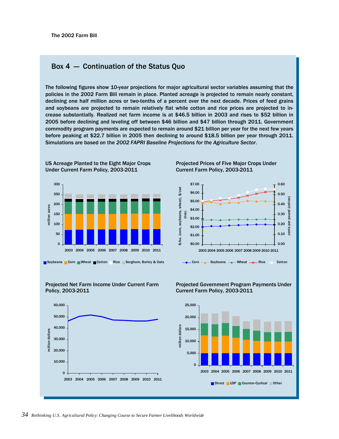### Box 4 — Continuation of the Status Quo

The following figures show 10-year projections for major agricultural sector variables assuming that the policies in the 2002 Farm Bill remain in place. Planted acreage is projected to remain nearly constant, declining one half million acres or two-tenths of a percent over the next decade. Prices of feed grains and soybeans are projected to remain relatively flat while cotton and rice prices are projected to increase substantially. Realized net farm income is at \$46.5 billion in 2003 and rises to \$52 billion in 2005 before declining and leveling off between \$46 billion and \$47 billion through 2011. Government commodity program payments are expected to remain around \$21 billion per year for the next few years before peaking at \$22.7 billion in 2005 then declining to around \$18.5 billion per year through 2011. Simulations are based on the *2002 FAPRI Baseline Projections for the Agriculture Sector*.





Soybeans Corn Wheat Cotton Rice Sorghum, Barley & Oats

Projected Net Farm Income Under Current Farm Policy, 2003-2011



Projected Prices of Five Major Crops Under Current Farm Policy, 2003-2011





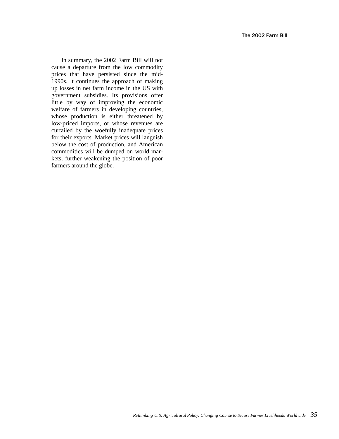In summary, the 2002 Farm Bill will not cause a departure from the low commodity prices that have persisted since the mid-1990s. It continues the approach of making up losses in net farm income in the US with government subsidies. Its provisions offer little by way of improving the economic welfare of farmers in developing countries, whose production is either threatened by low-priced imports, or whose revenues are curtailed by the woefully inadequate prices for their exports. Market prices will languish below the cost of production, and American commodities will be dumped on world markets, further weakening the position of poor farmers around the globe.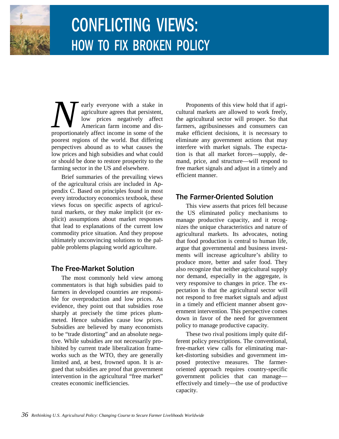

### CONFLICTING VIEWS: HOW TO FIX BROKEN POLICY

**N**early everyone with a stake in agriculture agrees that persistent, low prices negatively affect American farm income and disproportionately affect income in some of the agriculture agrees that persistent, low prices negatively affect American farm income and dispoorest regions of the world. But differing perspectives abound as to what causes the low prices and high subsidies and what could or should be done to restore prosperity to the farming sector in the US and elsewhere.

Brief summaries of the prevailing views of the agricultural crisis are included in Appendix C. Based on principles found in most every introductory economics textbook, these views focus on specific aspects of agricultural markets, or they make implicit (or explicit) assumptions about market responses that lead to explanations of the current low commodity price situation. And they propose ultimately unconvincing solutions to the palpable problems plaguing world agriculture.

### The Free-Market Solution

The most commonly held view among commentators is that high subsidies paid to farmers in developed countries are responsible for overproduction and low prices. As evidence, they point out that subsidies rose sharply at precisely the time prices plummeted. Hence subsidies cause low prices. Subsidies are believed by many economists to be "trade distorting" and an absolute negative. While subsidies are not necessarily prohibited by current trade liberalization frameworks such as the WTO, they are generally limited and, at best, frowned upon. It is argued that subsidies are proof that government intervention in the agricultural "free market" creates economic inefficiencies.

Proponents of this view hold that if agricultural markets are allowed to work freely, the agricultural sector will prosper. So that farmers, agribusinesses and consumers can make efficient decisions, it is necessary to eliminate any government actions that may interfere with market signals. The expectation is that all market forces—supply, demand, price, and structure—will respond to free market signals and adjust in a timely and efficient manner.

### The Farmer-Oriented Solution

This view asserts that prices fell because the US eliminated policy mechanisms to manage productive capacity, and it recognizes the unique characteristics and nature of agricultural markets. Its advocates, noting that food production is central to human life, argue that governmental and business investments will increase agriculture's ability to produce more, better and safer food. They also recognize that neither agricultural supply nor demand, especially in the aggregate, is very responsive to changes in price. The expectation is that the agricultural sector will not respond to free market signals and adjust in a timely and efficient manner absent government intervention. This perspective comes down in favor of the need for government policy to manage productive capacity.

These two rival positions imply quite different policy prescriptions. The conventional, free-market view calls for eliminating market-distorting subsidies and government imposed protective measures. The farmeroriented approach requires country-specific government policies that can manage effectively and timely—the use of productive capacity.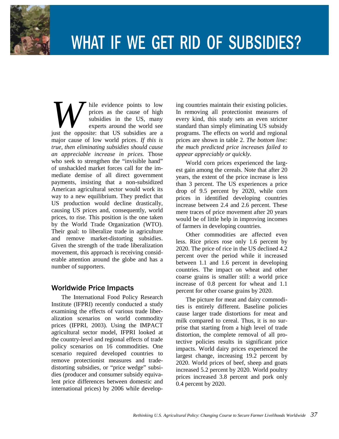

### WHAT IF WE GET RID OF SUBSIDIES?

We spin the evidence points to low prices as the cause of high subsidies in the US, many experts around the world see just the opposite: that US subsidies are a prices as the cause of high subsidies in the US, many experts around the world see major cause of low world prices. *If this is true, then eliminating subsidies should cause an appreciable increase in prices.* Those who seek to strengthen the "invisible hand" of unshackled market forces call for the immediate demise of all direct government payments, insisting that a non-subsidized American agricultural sector would work its way to a new equilibrium. They predict that US production would decline drastically, causing US prices and, consequently, world prices, to rise. This position is the one taken by the World Trade Organization (WTO). Their goal: to liberalize trade in agriculture and remove market-distorting subsidies. Given the strength of the trade liberalization movement, this approach is receiving considerable attention around the globe and has a number of supporters.

### Worldwide Price Impacts

The International Food Policy Research Institute (IFPRI) recently conducted a study examining the effects of various trade liberalization scenarios on world commodity prices (IFPRI, 2003). Using the IMPACT agricultural sector model, IFPRI looked at the country-level and regional effects of trade policy scenarios on 16 commodities. One scenario required developed countries to remove protectionist measures and tradedistorting subsidies, or "price wedge" subsidies (producer and consumer subsidy equivalent price differences between domestic and international prices) by 2006 while developing countries maintain their existing policies. In removing all protectionist measures of every kind, this study sets an even stricter standard than simply eliminating US subsidy programs. The effects on world and regional prices are shown in table 2. *The bottom line: the much predicted price increases failed to appear appreciably or quickly.* 

World corn prices experienced the largest gain among the cereals. Note that after 20 years, the extent of the price increase is less than 3 percent. The US experiences a price drop of 9.5 percent by 2020, while corn prices in identified developing countries increase between 2.4 and 2.6 percent. These mere traces of price movement after 20 years would be of little help in improving incomes of farmers in developing countries.

Other commodities are affected even less. Rice prices rose only 1.6 percent by 2020. The price of rice in the US declined 4.2 percent over the period while it increased between 1.1 and 1.6 percent in developing countries. The impact on wheat and other coarse grains is smaller still: a world price increase of 0.8 percent for wheat and 1.1 percent for other coarse grains by 2020.

The picture for meat and dairy commodities is entirely different. Baseline policies cause larger trade distortions for meat and milk compared to cereal. Thus, it is no surprise that starting from a high level of trade distortion, the complete removal of all protective policies results in significant price impacts. World dairy prices experienced the largest change, increasing 19.2 percent by 2020. World prices of beef, sheep and goats increased 5.2 percent by 2020. World poultry prices increased 3.8 percent and pork only 0.4 percent by 2020.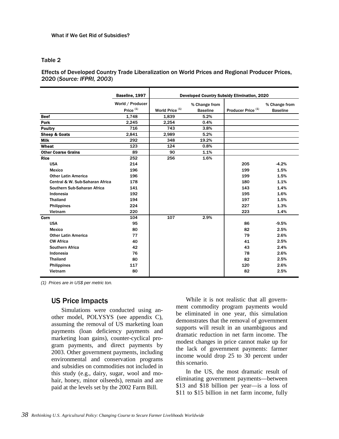### Table 2

Effects of Developed Country Trade Liberalization on World Prices and Regional Producer Prices, 2020 (*Source: IFPRI, 2003*)

|                                 | Baseline, 1997   |                            |                 | <b>Developed Country Subsidy Elimination, 2020</b> |                 |
|---------------------------------|------------------|----------------------------|-----------------|----------------------------------------------------|-----------------|
|                                 | World / Producer |                            | % Change from   |                                                    | % Change from   |
|                                 | Price $(1)$      | World Price <sup>(1)</sup> | <b>Baseline</b> | Producer Price <sup>(1)</sup>                      | <b>Baseline</b> |
| <b>Beef</b>                     | 1,748            | 1,839                      | 5.2%            |                                                    |                 |
| <b>Pork</b>                     | 2,245            | 2,254                      | 0.4%            |                                                    |                 |
| <b>Poultry</b>                  | 716              | 743                        | 3.8%            |                                                    |                 |
| <b>Sheep &amp; Goats</b>        | 2,841            | 2,989                      | 5.2%            |                                                    |                 |
| <b>MIIK</b>                     | 292              | 348                        | 19.2%           |                                                    |                 |
| Wheat                           | 123              | 124                        | 0.8%            |                                                    |                 |
| <b>Other Coarse Grains</b>      | 89               | 90                         | 1.1%            |                                                    |                 |
| <b>Rice</b>                     | 252              | 256                        | 1.6%            |                                                    |                 |
| <b>USA</b>                      | 214              |                            |                 | 205                                                | $-4.2%$         |
| <b>Mexico</b>                   | 196              |                            |                 | 199                                                | 1.5%            |
| <b>Other Latin America</b>      | 196              |                            |                 | 199                                                | 1.5%            |
| Central & W. Sub-Saharan Africa | 178              |                            |                 | 180                                                | 1.1%            |
| Southern Sub-Saharan Africa     | 141              |                            |                 | 143                                                | 1.4%            |
| Indonesia                       | 192              |                            |                 | 195                                                | 1.6%            |
| <b>Thailand</b>                 | 194              |                            |                 | 197                                                | 1.5%            |
| <b>Philippines</b>              | 224              |                            |                 | 227                                                | 1.3%            |
| Vietnam                         | 220              |                            |                 | 223                                                | 1.4%            |
| Corn                            | 104              | 107                        | 2.9%            |                                                    |                 |
| <b>USA</b>                      | 95               |                            |                 | 86                                                 | $-9.5%$         |
| <b>Mexico</b>                   | 80               |                            |                 | 82                                                 | 2.5%            |
| <b>Other Latin America</b>      | 77               |                            |                 | 79                                                 | 2.6%            |
| <b>CW Africa</b>                | 40               |                            |                 | 41                                                 | 2.5%            |
| Southern Africa                 | 42               |                            |                 | 43                                                 | 2.4%            |
| Indonesia                       | 76               |                            |                 | 78                                                 | 2.6%            |
| <b>Thailand</b>                 | 80               |                            |                 | 82                                                 | 2.5%            |
| <b>Philippines</b>              | 117              |                            |                 | 120                                                | 2.6%            |
| Vietnam                         | 80               |                            |                 | 82                                                 | 2.5%            |

*(1) Prices are in US\$ per metric ton.*

### US Price Impacts

Simulations were conducted using another model, POLYSYS (see appendix C), assuming the removal of US marketing loan payments (loan deficiency payments and marketing loan gains), counter-cyclical program payments, and direct payments by 2003. Other government payments, including environmental and conservation programs and subsidies on commodities not included in this study (e.g., dairy, sugar, wool and mohair, honey, minor oilseeds), remain and are paid at the levels set by the 2002 Farm Bill.

While it is not realistic that all government commodity program payments would be eliminated in one year, this simulation demonstrates that the removal of government supports will result in an unambiguous and dramatic reduction in net farm income. The modest changes in price cannot make up for the lack of government payments: farmer income would drop 25 to 30 percent under this scenario.

In the US, the most dramatic result of eliminating government payments—between \$13 and \$18 billion per year—is a loss of \$11 to \$15 billion in net farm income, fully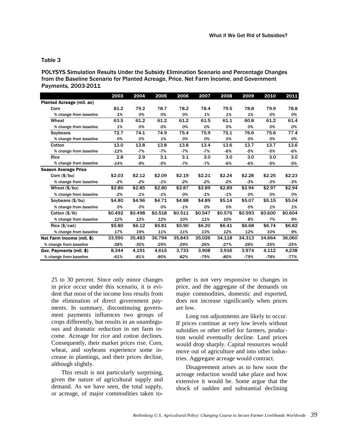### Table 3

POLYSYS Simulation Results Under the Subsidy Elimination Scenario and Percentage Changes from the Baseline Scenario for Planted Acreage, Price, Net Farm Income, and Government Payments, 2003-2011

|                                  | 2003    | 2004    | 2005    | 2006    | 2007    | 2008    | 2009    | 2010    | 2011    |
|----------------------------------|---------|---------|---------|---------|---------|---------|---------|---------|---------|
| <b>Planted Acreage (mil. ac)</b> |         |         |         |         |         |         |         |         |         |
| Corn                             | 81.2    | 79.2    | 78.7    | 78.2    | 78.4    | 79.5    | 78.8    | 79.9    | 78.8    |
| % change from baseline           | 1%      | 0%      | 0%      | 0%      | 1%      | 1%      | 1%      | 0%      | 0%      |
| Wheat                            | 63.5    | 61.2    | 61.2    | 61.2    | 61.5    | 61.1    | 60.8    | 61.2    | 61.4    |
| % change from baseline           | 1%      | 0%      | 0%      | 0%      | 0%      | 0%      | 0%      | 0%      | 0%      |
| Soybeans                         | 72.7    | 74.1    | 74.9    | 75.4    | 75.9    | 75.1    | 76.6    | 75.6    | 77.4    |
| % change from baseline           | 0%      | 0%      | 1%      | 0%      | 0%      | 0%      | 0%      | 0%      | 0%      |
| Cotton                           | 13.0    | 13.8    | 13.8    | 13.8    | 13.4    | 13.6    | 13.7    | 13.7    | 13.6    |
| % change from baseline           | $-12%$  | -7%     | $-7%$   | -7%     | $-7%$   | -6%     | $-5%$   | -5%     | -6%     |
| Rice                             | 2.8     | 2.9     | 3.1     | 3.1     | 3.0     | 3.0     | 3.0     | 3.0     | 3.0     |
| % change from baseline           | $-14%$  | $-9%$   | $-5%$   | $-7%$   | -7%     | -6%     | -6%     | -5%     | $-5%$   |
| <b>Season Average Price</b>      |         |         |         |         |         |         |         |         |         |
| Corn $(\frac{5}{bu})$            | \$2.03  | \$2.12  | \$2.09  | \$2.19  | \$2.21  | \$2.24  | \$2.28  | \$2.25  | \$2.23  |
| % change from baseline           | $-2%$   | $-2%$   | $-1%$   | $-2%$   | $-2%$   | $-2%$   | $-3%$   | $-3%$   | $-3%$   |
| Wheat $(\frac{4}{5})$ bu)        | \$2.80  | \$2.85  | \$2.80  | \$2.87  | \$2.89  | \$2.89  | \$2.94  | \$2.97  | \$2.94  |
| % change from baseline           | $-2%$   | $-1%$   | $-1%$   | 0%      | $-1%$   | $-1%$   | 0%      | 0%      | 0%      |
| Soybeans $(\frac{5}{bu})$        | \$4.80  | \$4.96  | \$4.71  | \$4.88  | \$4.89  | \$5.14  | \$5.07  | \$5.15  | \$5.04  |
| % change from baseline           | 0%      | 0%      | 0%      | $-1%$   | 0%      | 0%      | 0%      | 1%      | 1%      |
| Cotton $(\frac{4}{16})$          | \$0.492 | \$0.498 | \$0.518 | \$0.511 | \$0.547 | \$0.576 | \$0.593 | \$0.600 | \$0.604 |
| % change from baseline           | 12%     | 12%     | 12%     | 10%     | 11%     | 10%     | 8%      | 7%      | 9%      |
| $Rice$ (\$/ $cwt$ )              | \$5.80  | \$6.12  | \$5.81  | \$5.90  | \$6.20  | \$6.41  | \$6.68  | \$6.74  | \$6.82  |
| % change from baseline           | 17%     | 19%     | 11%     | 11%     | 13%     | 12%     | 12%     | 10%     | 9%      |
| Net Farm Income (mil. \$)        | 33.590  | 35.483  | 36,794  | 35,843  | 35,026  | 34.118  | 34.313  | 34.664  | 36.060  |
| % change from baseline           | $-28%$  | $-30%$  | $-29%$  | $-29%$  | $-26%$  | $-27%$  | $-26%$  | $-25%$  | $-25%$  |
| Gov. Payments (mil. \$)          | 8,344   | 4,191   | 4,615   | 3,733   | 3,908   | 3,916   | 3,974   | 4.112   | 4,238   |
| % change from baseline           | $-61%$  | $-81%$  | $-80%$  | $-82%$  | $-79%$  | $-80%$  | $-79%$  | $-78%$  | $-77%$  |

25 to 30 percent. Since only minor changes in price occur under this scenario, it is evident that most of the income loss results from the elimination of direct government payments. In summary, discontinuing government payments influences two groups of crops differently, but results in an unambiguous and dramatic reduction in net farm income. Acreage for rice and cotton declines. Consequently, their market prices rise. Corn, wheat, and soybeans experience some increase in plantings, and their prices decline, although slightly.

This result is not particularly surprising, given the nature of agricultural supply and demand. As we have seen, the total supply, or acreage, of major commodities taken together is not very responsive to changes in price, and the aggregate of the demands on major commodities, domestic and exported, does not increase significantly when prices are low.

Long run adjustments are likely to occur. If prices continue at very low levels without subsidies or other relief for farmers, production would eventually decline. Land prices would drop sharply. Capital resources would move out of agriculture and into other industries. Aggregate acreage would contract.

Disagreement arises as to how soon the acreage reduction would take place and how extensive it would be. Some argue that the shock of sudden and substantial declining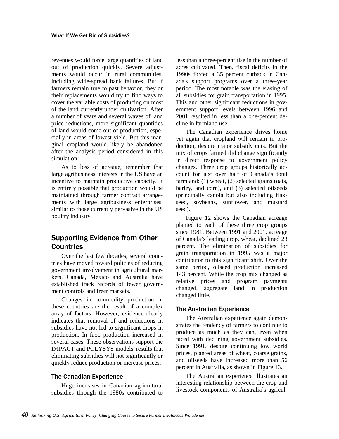revenues would force large quantities of land out of production quickly. Severe adjustments would occur in rural communities, including wide-spread bank failures. But if farmers remain true to past behavior, they or their replacements would try to find ways to cover the variable costs of producing on most of the land currently under cultivation. After a number of years and several waves of land price reductions, more significant quantities of land would come out of production, especially in areas of lowest yield. But this marginal cropland would likely be abandoned after the analysis period considered in this simulation.

As to loss of acreage, remember that large agribusiness interests in the US have an incentive to maintain productive capacity. It is entirely possible that production would be maintained through farmer contract arrangements with large agribusiness enterprises, similar to those currently pervasive in the US poultry industry.

### Supporting Evidence from Other **Countries**

Over the last few decades, several countries have moved toward policies of reducing government involvement in agricultural markets. Canada, Mexico and Australia have established track records of fewer government controls and freer markets.

Changes in commodity production in these countries are the result of a complex array of factors. However, evidence clearly indicates that removal of and reductions in subsidies have not led to significant drops in production. In fact, production increased in several cases. These observations support the IMPACT and POLYSYS models' results that eliminating subsidies will not significantly or quickly reduce production or increase prices.

### The Canadian Experience

Huge increases in Canadian agricultural subsidies through the 1980s contributed to less than a three-percent rise in the number of acres cultivated. Then, fiscal deficits in the 1990s forced a 35 percent cutback in Canada's support programs over a three-year period. The most notable was the erasing of all subsidies for grain transportation in 1995. This and other significant reductions in government support levels between 1996 and 2001 resulted in less than a one-percent decline in farmland use.

The Canadian experience drives home yet again that cropland will remain in production, despite major subsidy cuts. But the mix of crops farmed did change significantly in direct response to government policy changes. Three crop groups historically account for just over half of Canada's total farmland: (1) wheat, (2) selected grains (oats, barley, and corn), and (3) selected oilseeds (principally canola but also including flaxseed, soybeans, sunflower, and mustard seed).

Figure 12 shows the Canadian acreage planted to each of these three crop groups since 1981. Between 1991 and 2001, acreage of Canada's leading crop, wheat, declined 23 percent. The elimination of subsidies for grain transportation in 1995 was a major contributor to this significant shift. Over the same period, oilseed production increased 143 percent. While the crop mix changed as relative prices and program payments changed, aggregate land in production changed little.

### The Australian Experience

The Australian experience again demonstrates the tendency of farmers to continue to produce as much as they can, even when faced with declining government subsidies. Since 1991, despite continuing low world prices, planted areas of wheat, coarse grains, and oilseeds have increased more than 56 percent in Australia, as shown in Figure 13.

The Australian experience illustrates an interesting relationship between the crop and livestock components of Australia's agricul-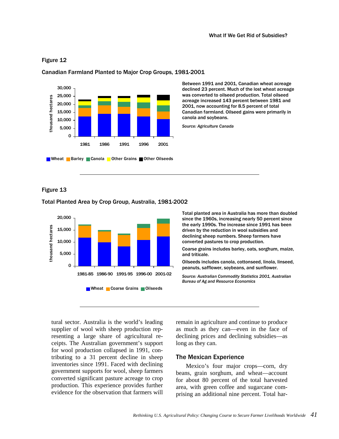### Figure 12



### Canadian Farmland Planted to Major Crop Groups, 1981-2001

Between 1991 and 2001, Canadian wheat acreage declined 23 percent. Much of the lost wheat acreage was converted to oilseed production. Total oilseed acreage increased 143 percent between 1981 and 2001, now accounting for 8.5 percent of total Canadian farmland. Oilseed gains were primarily in canola and soybeans.

*Source: Agriculture Canada*

### Figure 13

#### Total Planted Area by Crop Group, Australia, 1981-2002



Total planted area in Australia has more than doubled since the 1960s, increasing nearly 50 percent since the early 1990s. The increase since 1991 has been driven by the reduction in wool subsidies and declining sheep numbers. Sheep farmers have converted pastures to crop production.

Coarse grains includes barley, oats, sorghum, maize, and triticale.

Oilseeds includes canola, cottonseed, linola, linseed, peanuts, safflower, soybeans, and sunflower.

*Source: Australian Commodity Statistics 2001, Australian Bureau of Ag and Resource Economics*

tural sector. Australia is the world's leading supplier of wool with sheep production representing a large share of agricultural receipts. The Australian government's support for wool production collapsed in 1991, contributing to a 31 percent decline in sheep inventories since 1991. Faced with declining government supports for wool, sheep farmers converted significant pasture acreage to crop production. This experience provides further evidence for the observation that farmers will

remain in agriculture and continue to produce as much as they can—even in the face of declining prices and declining subsidies—as long as they can.

### The Mexican Experience

Mexico's four major crops—corn, dry beans, grain sorghum, and wheat—account for about 80 percent of the total harvested area, with green coffee and sugarcane comprising an additional nine percent. Total har-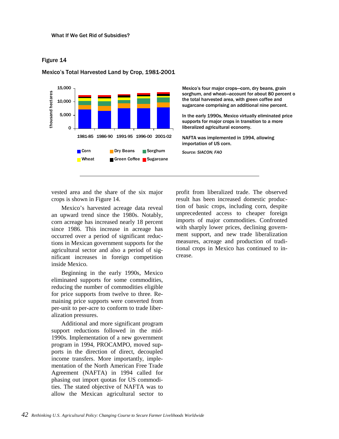### Figure 14



#### Mexico's Total Harvested Land by Crop, 1981-2001

Mexico's four major crops—corn, dry beans, grain sorghum, and wheat—account for about 80 percent o the total harvested area, with green coffee and sugarcane comprising an additional nine percent.

In the early 1990s, Mexico virtually eliminated price supports for major crops in transition to a more liberalized agricultural economy.

NAFTA was implemented in 1994, allowing importation of US corn.

*Source: SIACON; FAO*

vested area and the share of the six major crops is shown in Figure 14.

Mexico's harvested acreage data reveal an upward trend since the 1980s. Notably, corn acreage has increased nearly 18 percent since 1986. This increase in acreage has occurred over a period of significant reductions in Mexican government supports for the agricultural sector and also a period of significant increases in foreign competition inside Mexico.

Beginning in the early 1990s, Mexico eliminated supports for some commodities, reducing the number of commodities eligible for price supports from twelve to three. Remaining price supports were converted from per-unit to per-acre to conform to trade liberalization pressures.

Additional and more significant program support reductions followed in the mid-1990s. Implementation of a new government program in 1994, PROCAMPO, moved supports in the direction of direct, decoupled income transfers. More importantly, implementation of the North American Free Trade Agreement (NAFTA) in 1994 called for phasing out import quotas for US commodities. The stated objective of NAFTA was to allow the Mexican agricultural sector to

profit from liberalized trade. The observed result has been increased domestic production of basic crops, including corn, despite unprecedented access to cheaper foreign imports of major commodities. Confronted with sharply lower prices, declining government support, and new trade liberalization measures, acreage and production of traditional crops in Mexico has continued to increase.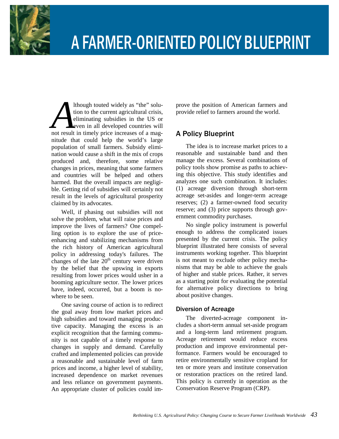

### A FARMER-ORIENTED POLICY BLUEPRINT

Although touted widely as "the" solution to the current agricultural crisis, eliminating subsidies in the US or even in all developed countries will not result in timely price increases of a magtion to the current agricultural crisis, eliminating subsidies in the US or even in all developed countries will nitude that could help the world's large population of small farmers. Subsidy elimination would cause a shift in the mix of crops produced and, therefore, some relative changes in prices, meaning that some farmers and countries will be helped and others harmed. But the overall impacts are negligible. Getting rid of subsidies will certainly not result in the levels of agricultural prosperity claimed by its advocates.

Well, if phasing out subsidies will not solve the problem, what will raise prices and improve the lives of farmers? One compelling option is to explore the use of priceenhancing and stabilizing mechanisms from the rich history of American agricultural policy in addressing today's failures. The changes of the late  $20<sup>th</sup>$  century were driven by the belief that the upswing in exports resulting from lower prices would usher in a booming agriculture sector. The lower prices have, indeed, occurred, but a boom is nowhere to be seen.

One saving course of action is to redirect the goal away from low market prices and high subsidies and toward managing productive capacity. Managing the excess is an explicit recognition that the farming community is not capable of a timely response to changes in supply and demand. Carefully crafted and implemented policies can provide a reasonable and sustainable level of farm prices and income, a higher level of stability, increased dependence on market revenues and less reliance on government payments. An appropriate cluster of policies could improve the position of American farmers and provide relief to farmers around the world.

### A Policy Blueprint

The idea is to increase market prices to a reasonable and sustainable band and then manage the excess. Several combinations of policy tools show promise as paths to achieving this objective. This study identifies and analyzes one such combination. It includes: (1) acreage diversion through short-term acreage set-asides and longer-term acreage reserves; (2) a farmer-owned food security reserve; and (3) price supports through government commodity purchases.

No single policy instrument is powerful enough to address the complicated issues presented by the current crisis. The policy blueprint illustrated here consists of several instruments working together. This blueprint is not meant to exclude other policy mechanisms that may be able to achieve the goals of higher and stable prices. Rather, it serves as a starting point for evaluating the potential for alternative policy directions to bring about positive changes.

### Diversion of Acreage

The diverted-acreage component includes a short-term annual set-aside program and a long-term land retirement program. Acreage retirement would reduce excess production and improve environmental performance. Farmers would be encouraged to retire environmentally sensitive cropland for ten or more years and institute conservation or restoration practices on the retired land. This policy is currently in operation as the Conservation Reserve Program (CRP).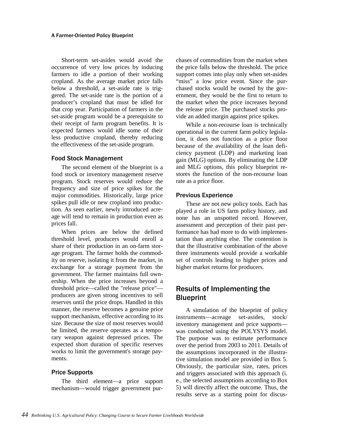Short-term set-asides would avoid the occurrence of very low prices by inducing farmers to idle a portion of their working cropland. As the average market price falls below a threshold, a set-aside rate is triggered. The set-aside rate is the portion of a producer's cropland that must be idled for that crop year. Participation of farmers in the set-aside program would be a prerequisite to their receipt of farm program benefits. It is expected farmers would idle some of their less productive cropland, thereby reducing the effectiveness of the set-aside program.

### Food Stock Management

The second element of the blueprint is a food stock or inventory management reserve program. Stock reserves would reduce the frequency and size of price spikes for the major commodities. Historically, large price spikes pull idle or new cropland into production. As seen earlier, newly introduced acreage will tend to remain in production even as prices fall.

When prices are below the defined threshold level, producers would enroll a share of their production in an on-farm storage program. The farmer holds the commodity on reserve, isolating it from the market, in exchange for a storage payment from the government. The farmer maintains full ownership. When the price increases beyond a threshold price—called the "release price" producers are given strong incentives to sell reserves until the price drops. Handled in this manner, the reserve becomes a genuine price support mechanism, effective according to its size. Because the size of most reserves would be limited, the reserve operates as a temporary weapon against depressed prices. The expected short duration of specific reserves works to limit the government's storage payments.

### Price Supports

The third element—a price support mechanism—would trigger government purchases of commodities from the market when the price falls below the threshold. The price support comes into play only when set-asides "miss" a low price event. Since the purchased stocks would be owned by the government, they would be the first to return to the market when the price increases beyond the release price. The purchased stocks provide an added margin against price spikes.

While a non-recourse loan is technically operational in the current farm policy legislation, it does not function as a price floor because of the availability of the loan deficiency payment (LDP) and marketing loan gain (MLG) options. By eliminating the LDP and MLG options, this policy blueprint restores the function of the non-recourse loan rate as a price floor.

### Previous Experience

These are not new policy tools. Each has played a role in US farm policy history, and none has an unspotted record. However, assessment and perception of their past performance has had more to do with implementation than anything else. The contention is that the illustrative combination of the above three instruments would provide a workable set of controls leading to higher prices and higher market returns for producers.

### Results of Implementing the **Blueprint**

A simulation of the blueprint of policy instruments—acreage set-asides, stock/ inventory management and price supports was conducted using the POLYSYS model. The purpose was to estimate performance over the period from 2003 to 2011. Details of the assumptions incorporated in the illustrative simulation model are provided in Box 5. Obviously, the particular size, rates, prices and triggers associated with this approach (i. e., the selected assumptions according to Box 5) will directly affect the outcome. Thus, the results serve as a starting point for discus-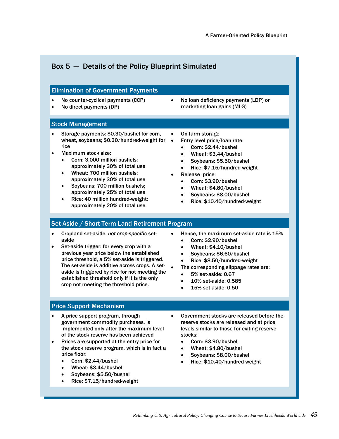### Box 5 — Details of the Policy Blueprint Simulated

### Elimination of Government Payments

- No counter-cyclical payments (CCP)
- No direct payments (DP)

• No loan deficiency payments (LDP) or marketing loan gains (MLG)

### Stock Management

- Storage payments: \$0.30/bushel for corn, wheat, soybeans; \$0.30/hundred-weight for • rice
- Maximum stock size:
	- Corn: 3,000 million bushels; approximately 30% of total use
	- Wheat: 700 million bushels; approximately 30% of total use
	- Soybeans: 700 million bushels; approximately 25% of total use
	- Rice: 40 million hundred-weight; approximately 20% of total use
- On-farm storage
- Entry level price/loan rate:
	- Corn: \$2.44/bushel
	- Wheat: \$3.44/bushel
	- Soybeans: \$5.50/bushel
	- Rice: \$7.15/hundred-weight
- Release price:
	- Corn: \$3.90/bushel
	- Wheat: \$4.80/bushel
	- Soybeans: \$8.00/bushel
	- Rice: \$10.40/hundred-weight

### Set-Aside / Short-Term Land Retirement Program

- Cropland set-aside, *not crop-specific* setaside
- Set-aside trigger: for every crop with a previous year price below the established price threshold, a 5% set-aside is triggered. The set-aside is additive across crops. A setaside is triggered by rice for not meeting the established threshold only if it is the only crop not meeting the threshold price.
- Hence, the maximum set-aside rate is 15%
	- Corn: \$2.90/bushel
	- Wheat: \$4.10/bushel
	- Soybeans: \$6.60/bushel
	- Rice: \$8.50/hundred-weight
	- The corresponding slippage rates are:
	- 5% set-aside: 0.67
	- 10% set-aside: 0.585
	- 15% set-aside: 0.50

### Price Support Mechanism

- A price support program, through government commodity purchases, is implemented only after the maximum level of the stock reserve has been achieved
- Prices are supported at the entry price for the stock reserve program, which is in fact a price floor:
	- Corn: \$2.44/bushel
	- Wheat: \$3.44/bushel
	- Soybeans: \$5.50/bushel
	- Rice: \$7.15/hundred-weight
- Government stocks are released before the reserve stocks are released and at price levels similar to those for exiting reserve stocks:
	- Corn: \$3.90/bushel
	- Wheat: \$4.80/bushel
	- Soybeans: \$8.00/bushel
	- Rice: \$10.40/hundred-weight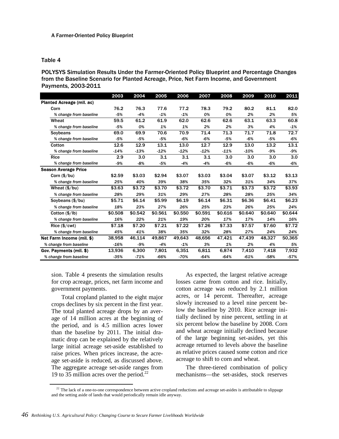### A Farmer-Oriented Policy Blueprint

### Table 4

POLYSYS Simulation Results Under the Farmer-Oriented Policy Blueprint and Percentage Changes from the Baseline Scenario for Planted Acreage, Price, Net Farm Income, and Government Payments, 2003-2011

|                                  | 2003    | 2004    | 2005    | 2006    | 2007    | 2008    | 2009    | 2010    | 2011    |
|----------------------------------|---------|---------|---------|---------|---------|---------|---------|---------|---------|
| <b>Planted Acreage (mil. ac)</b> |         |         |         |         |         |         |         |         |         |
| Corn                             | 76.2    | 76.3    | 77.6    | 77.2    | 78.3    | 79.2    | 80.2    | 81.1    | 82.0    |
| % change from baseline           | $-5%$   | $-4%$   | $-1%$   | $-1%$   | 0%      | 0%      | 2%      | 2%      | 5%      |
| Wheat                            | 59.5    | 61.2    | 61.9    | 62.0    | 62.6    | 62.6    | 63.1    | 63.3    | 60.8    |
| % change from baseline           | $-5%$   | 0%      | 1%      | 1%      | 2%      | 2%      | 3%      | 4%      | $-1%$   |
| Soybeans                         | 69.0    | 69.9    | 70.6    | 70.9    | 71.4    | 71.3    | 71.7    | 71.8    | 72.7    |
| % change from baseline           | $-5%$   | $-5%$   | $-5%$   | $-6%$   | $-6%$   | $-5%$   | $-6%$   | $-5%$   | $-6%$   |
| Cotton                           | 12.6    | 12.9    | 13.1    | 13.0    | 12.7    | 12.9    | 13.0    | 13.2    | 13.1    |
| % change from baseline           | $-14%$  | $-13%$  | $-12%$  | $-12%$  | $-12%$  | $-11%$  | $-10%$  | $-9%$   | $-9%$   |
| Rice                             | 2.9     | 3.0     | 3.1     | 3.1     | 3.1     | 3.0     | 3.0     | 3.0     | 3.0     |
| % change from baseline           | $-9%$   | $-8%$   | -5%     | -4%     | $-4%$   | $-6%$   | -6%     | -6%     | $-6%$   |
| <b>Season Average Price</b>      |         |         |         |         |         |         |         |         |         |
| Corn $(\frac{5}{bu})$            | \$2.59  | \$3.03  | \$2.94  | \$3.07  | \$3.03  | \$3.04  | \$3.07  | \$3.12  | \$3.13  |
| % change from baseline           | 25%     | 40%     | 39%     | 38%     | 35%     | 32%     | 31%     | 34%     | 37%     |
| Wheat $(\frac{4}{5})$ bu)        | \$3.63  | \$3.72  | \$3.70  | \$3.72  | \$3.70  | \$3.71  | \$3.73  | \$3.72  | \$3.93  |
| % change from baseline           | 28%     | 29%     | 31%     | 29%     | 27%     | 28%     | 28%     | 25%     | 34%     |
| Soybeans $(\frac{5}{bu})$        | \$5.71  | \$6.14  | \$5.99  | \$6.19  | \$6.14  | \$6.31  | \$6.36  | \$6.41  | \$6.23  |
| % change from baseline           | 18%     | 23%     | 27%     | 26%     | 25%     | 23%     | 26%     | 25%     | 24%     |
| Cotton $(\frac{5}{lb})$          | \$0.508 | \$0.542 | \$0.561 | \$0.550 | \$0.591 | \$0.616 | \$0.640 | \$0.640 | \$0.644 |
| % change from baseline           | 16%     | 22%     | 21%     | 19%     | 20%     | 17%     | 17%     | 14%     | 16%     |
| $Rice$ (\$/ $cwt$ )              | \$7.18  | \$7.20  | \$7.21  | \$7.22  | \$7.26  | \$7.33  | \$7.57  | \$7.60  | \$7.72  |
| % change from baseline           | 45%     | 41%     | 38%     | 35%     | 32%     | 28%     | 27%     | 24%     | 24%     |
| Net Farm Income (mil. \$)        | 38,958  | 46,114  | 49,867  | 49,643  | 48,656  | 47,421  | 47,439  | 48,327  | 50,365  |
| % change from baseline           | $-16%$  | $-9%$   | $-4%$   | $-1%$   | 3%      | 1%      | 2%      | 4%      | 5%      |
| Gov. Payments (mil. \$)          | 13.936  | 6.300   | 7.801   | 6.351   | 6.811   | 6.874   | 7.410   | 7.418   | 7,932   |
| % change from baseline           | $-35%$  | $-71%$  | $-66%$  | $-70%$  | $-64%$  | $-64%$  | $-61%$  | $-58%$  | $-57%$  |

sion. Table 4 presents the simulation results for crop acreage, prices, net farm income and government payments.

Total cropland planted to the eight major crops declines by six percent in the first year. The total planted acreage drops by an average of 14 million acres at the beginning of the period, and is 4.5 million acres lower than the baseline by 2011. The initial dramatic drop can be explained by the relatively large initial acreage set-aside established to raise prices. When prices increase, the acreage set-aside is reduced, as discussed above. The aggregate acreage set-aside ranges from 19 to 35 million acres over the period. $^{22}$ 

As expected, the largest relative acreage losses came from cotton and rice. Initially, cotton acreage was reduced by 2.1 million acres, or 14 percent. Thereafter, acreage slowly increased to a level nine percent below the baseline by 2010. Rice acreage initially declined by nine percent, settling in at six percent below the baseline by 2008. Corn and wheat acreage initially declined because of the large beginning set-asides, yet this acreage returned to levels above the baseline as relative prices caused some cotton and rice acreage to shift to corn and wheat.

The three-tiered combination of policy mechanisms—the set-asides, stock reserves

 $22$  The lack of a one-to-one correspondence between active cropland reductions and acreage set-asides is attributable to slippage and the setting aside of lands that would periodically remain idle anyway.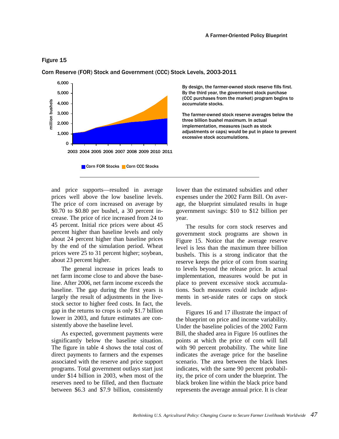

### Figure 15

By design, the farmer-owned stock reserve fills first. By the third year, the government stock purchase (CCC purchases from the market) program begins to accumulate stocks.

The farmer-owned stock reserve averages below the three billion bushel maximum. In actual implementation, measures (such as stock adjustments or caps) would be put in place to prevent excessive stock accumulations.

and price supports—resulted in average prices well above the low baseline levels. The price of corn increased on average by \$0.70 to \$0.80 per bushel, a 30 percent increase. The price of rice increased from 24 to 45 percent. Initial rice prices were about 45 percent higher than baseline levels and only about 24 percent higher than baseline prices by the end of the simulation period. Wheat prices were 25 to 31 percent higher; soybean, about 23 percent higher.

The general increase in prices leads to net farm income close to and above the baseline. After 2006, net farm income exceeds the baseline. The gap during the first years is largely the result of adjustments in the livestock sector to higher feed costs. In fact, the gap in the returns to crops is only \$1.7 billion lower in 2003, and future estimates are consistently above the baseline level.

As expected, government payments were significantly below the baseline situation. The figure in table 4 shows the total cost of direct payments to farmers and the expenses associated with the reserve and price support programs. Total government outlays start just under \$14 billion in 2003, when most of the reserves need to be filled, and then fluctuate between \$6.3 and \$7.9 billion, consistently lower than the estimated subsidies and other expenses under the 2002 Farm Bill. On average, the blueprint simulated results in huge government savings: \$10 to \$12 billion per year.

The results for corn stock reserves and government stock programs are shown in Figure 15. Notice that the average reserve level is less than the maximum three billion bushels. This is a strong indicator that the reserve keeps the price of corn from soaring to levels beyond the release price. In actual implementation, measures would be put in place to prevent excessive stock accumulations. Such measures could include adjustments in set-aside rates or caps on stock levels.

Figures 16 and 17 illustrate the impact of the blueprint on price and income variability. Under the baseline policies of the 2002 Farm Bill, the shaded area in Figure 16 outlines the points at which the price of corn will fall with 90 percent probability. The white line indicates the average price for the baseline scenario. The area between the black lines indicates, with the same 90 percent probability, the price of corn under the blueprint. The black broken line within the black price band represents the average annual price. It is clear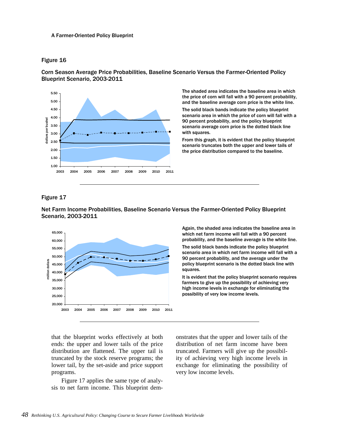#### A Farmer-Oriented Policy Blueprint

### Figure 16



Corn Season Average Price Probabilities, Baseline Scenario Versus the Farmer-Oriented Policy Blueprint Scenario, 2003-2011

> The shaded area indicates the baseline area in which the price of corn will fall with a 90 percent probability, and the baseline average corn price is the white line. The solid black bands indicate the policy blueprint scenario area in which the price of corn will fall with a 90 percent probability, and the policy blueprint scenario average corn price is the dotted black line with squares.

From this graph, it is evident that the policy blueprint scenario truncates both the upper and lower tails of the price distribution compared to the baseline.

### Figure 17





Again, the shaded area indicates the baseline area in which net farm income will fall with a 90 percent probability, and the baseline average is the white line.

The solid black bands indicate the policy blueprint scenario area in which net farm income will fall with a 90 percent probability, and the average under the policy blueprint scenario is the dotted black line with squares.

It is evident that the policy blueprint scenario requires farmers to give up the possibility of achieving very high income levels in exchange for eliminating the possibility of very low income levels.

that the blueprint works effectively at both ends: the upper and lower tails of the price distribution are flattened. The upper tail is truncated by the stock reserve programs; the lower tail, by the set-aside and price support programs.

Figure 17 applies the same type of analysis to net farm income. This blueprint demonstrates that the upper and lower tails of the distribution of net farm income have been truncated. Farmers will give up the possibility of achieving very high income levels in exchange for eliminating the possibility of very low income levels.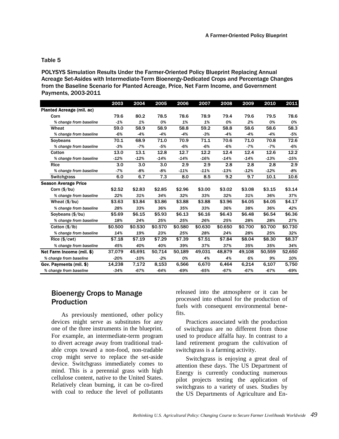### Table 5

POLYSYS Simulation Results Under the Farmer-Oriented Policy Blueprint Replacing Annual Acreage Set-Asides with Intermediate-Term Bioenergy-Dedicated Crops and Percentage Changes from the Baseline Scenario for Planted Acreage, Price, Net Farm Income, and Government Payments, 2003-2011

|                                  | 2003    | 2004    | 2005    | 2006    | 2007    | 2008    | 2009    | 2010    | 2011    |
|----------------------------------|---------|---------|---------|---------|---------|---------|---------|---------|---------|
| <b>Planted Acreage (mil. ac)</b> |         |         |         |         |         |         |         |         |         |
| Corn                             | 79.6    | 80.2    | 78.5    | 78.6    | 78.9    | 79.4    | 79.6    | 79.5    | 78.6    |
| % change from baseline           | $-1%$   | 1%      | 0%      | 1%      | 1%      | 0%      | 2%      | 0%      | 0%      |
| Wheat                            | 59.0    | 58.9    | 58.9    | 58.8    | 59.2    | 58.8    | 58.6    | 58.6    | 58.3    |
| % change from baseline           | $-6%$   | $-4%$   | $-4%$   | $-4%$   | $-3%$   | $-4%$   | $-4%$   | $-4%$   | $-5%$   |
| Soybeans                         | 70.1    | 68.9    | 71.0    | 70.9    | 71.1    | 70.6    | 71.0    | 70.8    | 72.6    |
| % change from baseline           | $-3%$   | $-7%$   | $-5%$   | $-6%$   | $-6%$   | $-6%$   | $-7%$   | $-7%$   | $-6%$   |
| Cotton                           | 13.0    | 13.1    | 12.8    | 12.7    | 12.2    | 12.4    | 12.4    | 12.6    | 12.2    |
| % change from baseline           | $-12%$  | $-12%$  | $-14%$  | $-14%$  | $-16%$  | $-14%$  | $-14%$  | $-13%$  | $-15%$  |
| Rice                             | 3.0     | 3.0     | 3.0     | 2.9     | 2.9     | 2.8     | 2.8     | 2.8     | 2.9     |
| % change from baseline           | $-7%$   | $-8%$   | $-8%$   | $-11%$  | $-11%$  | $-13%$  | $-12%$  | $-12%$  | $-8%$   |
| <b>Switchgrass</b>               | 6.0     | 6.7     | 7.3     | 8.0     | 8.5     | 9.2     | 9.7     | 10.1    | 10.6    |
| <b>Season Average Price</b>      |         |         |         |         |         |         |         |         |         |
| Corn $(\frac{5}{bu})$            | \$2.52  | \$2.83  | \$2.85  | \$2.96  | \$3.00  | \$3.02  | \$3.08  | \$3.15  | \$3.14  |
| % change from baseline           | 22%     | 31%     | 34%     | 32%     | 33%     | 32%     | 31%     | 36%     | 37%     |
| Wheat $(\frac{4}{5})$ bu)        | \$3.63  | \$3.84  | \$3.86  | \$3.88  | \$3.88  | \$3.96  | \$4.05  | \$4.05  | \$4.17  |
| % change from baseline           | 28%     | 33%     | 36%     | 35%     | 33%     | 36%     | 38%     | 36%     | 42%     |
| Soybeans (\$/bu)                 | \$5.69  | \$6.15  | \$5.93  | \$6.13  | \$6.16  | \$6.43  | \$6.48  | \$6.54  | \$6.36  |
| % change from baseline           | 18%     | 24%     | 25%     | 25%     | 26%     | 25%     | 28%     | 28%     | 27%     |
| Cotton (\$/lb)                   | \$0.500 | \$0.530 | \$0.570 | \$0.580 | \$0.630 | \$0.650 | \$0.700 | \$0.700 | \$0.730 |
| % change from baseline           | 14%     | 19%     | 23%     | 25%     | 28%     | 24%     | 28%     | 25%     | 32%     |
| $Rice$ (\$/ $cwt$ )              | \$7.18  | \$7.19  | \$7.29  | \$7.39  | \$7.51  | \$7.84  | \$8.04  | \$8.30  | \$8.37  |
| % change from baseline           | 45%     | 40%     | 40%     | 39%     | 37%     | 37%     | 35%     | 35%     | 34%     |
| Net Farm Income (mil. \$)        | 37.079  | 45,691  | 50,714  | 50,189  | 49,031  | 48.879  | 49,108  | 50.559  | 52,650  |
| % change from baseline           | $-20%$  | $-10%$  | $-2%$   | 0%      | 4%      | 4%      | 6%      | 9%      | 10%     |
| Gov. Payments (mil. \$)          | 14,238  | 7,172   | 8,153   | 6,566   | 6,670   | 6.464   | 6,214   | 6,107   | 5,750   |
| % change from baseline           | $-34%$  | $-67%$  | $-64%$  | $-69%$  | -65%    | $-67%$  | $-67%$  | $-67%$  | $-69%$  |

### Bioenergy Crops to Manage Production

As previously mentioned, other policy devices might serve as substitutes for any one of the three instruments in the blueprint. For example, an intermediate-term program to divert acreage away from traditional tradable crops toward a non-food, non-tradable crop might serve to replace the set-aside device. Switchgrass immediately comes to mind. This is a perennial grass with high cellulose content, native to the United States. Relatively clean burning, it can be co-fired with coal to reduce the level of pollutants released into the atmosphere or it can be processed into ethanol for the production of fuels with consequent environmental benefits.

Practices associated with the production of switchgrass are no different from those used to produce alfalfa hay. In contrast to a land retirement program the cultivation of switchgrass is a farming activity.

Switchgrass is enjoying a great deal of attention these days. The US Department of Energy is currently conducting numerous pilot projects testing the application of switchgrass to a variety of uses. Studies by the US Departments of Agriculture and En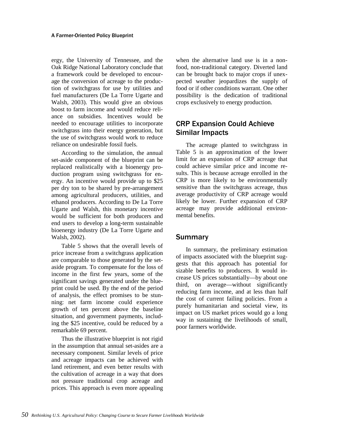ergy, the University of Tennessee, and the Oak Ridge National Laboratory conclude that a framework could be developed to encourage the conversion of acreage to the production of switchgrass for use by utilities and fuel manufacturers (De La Torre Ugarte and Walsh, 2003). This would give an obvious boost to farm income and would reduce reliance on subsidies. Incentives would be needed to encourage utilities to incorporate switchgrass into their energy generation, but the use of switchgrass would work to reduce reliance on undesirable fossil fuels.

According to the simulation, the annual set-aside component of the blueprint can be replaced realistically with a bioenergy production program using switchgrass for energy. An incentive would provide up to \$25 per dry ton to be shared by pre-arrangement among agricultural producers, utilities, and ethanol producers. According to De La Torre Ugarte and Walsh, this monetary incentive would be sufficient for both producers and end users to develop a long-term sustainable bioenergy industry (De La Torre Ugarte and Walsh, 2002).

Table 5 shows that the overall levels of price increase from a switchgrass application are comparable to those generated by the setaside program. To compensate for the loss of income in the first few years, some of the significant savings generated under the blueprint could be used. By the end of the period of analysis, the effect promises to be stunning: net farm income could experience growth of ten percent above the baseline situation, and government payments, including the \$25 incentive, could be reduced by a remarkable 69 percent.

Thus the illustrative blueprint is not rigid in the assumption that annual set-asides are a necessary component. Similar levels of price and acreage impacts can be achieved with land retirement, and even better results with the cultivation of acreage in a way that does not pressure traditional crop acreage and prices. This approach is even more appealing

when the alternative land use is in a nonfood, non-traditional category. Diverted land can be brought back to major crops if unexpected weather jeopardizes the supply of food or if other conditions warrant. One other possibility is the dedication of traditional crops exclusively to energy production.

### CRP Expansion Could Achieve Similar Impacts

The acreage planted to switchgrass in Table 5 is an approximation of the lower limit for an expansion of CRP acreage that could achieve similar price and income results. This is because acreage enrolled in the CRP is more likely to be environmentally sensitive than the switchgrass acreage, thus average productivity of CRP acreage would likely be lower. Further expansion of CRP acreage may provide additional environmental benefits.

### Summary

In summary, the preliminary estimation of impacts associated with the blueprint suggests that this approach has potential for sizable benefits to producers. It would increase US prices substantially—by about one third, on average—without significantly reducing farm income, and at less than half the cost of current failing policies. From a purely humanitarian and societal view, its impact on US market prices would go a long way in sustaining the livelihoods of small, poor farmers worldwide.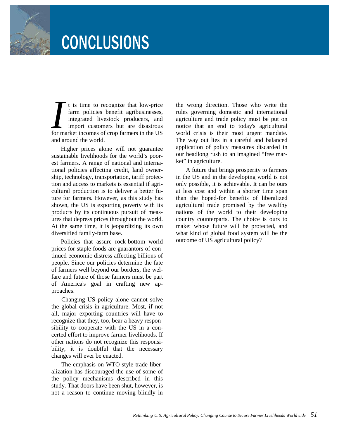### **CONCLUSIONS**

It is time to recognize that low-price<br>
farm policies benefit agribusinesses,<br>
integrated livestock producers, and<br>
import customers but are disastrous<br>
for market incomes of crop farmers in the US t is time to recognize that low-price farm policies benefit agribusinesses, integrated livestock producers, and import customers but are disastrous and around the world.

Higher prices alone will not guarantee sustainable livelihoods for the world's poorest farmers. A range of national and international policies affecting credit, land ownership, technology, transportation, tariff protection and access to markets is essential if agricultural production is to deliver a better future for farmers. However, as this study has shown, the US is exporting poverty with its products by its continuous pursuit of measures that depress prices throughout the world. At the same time, it is jeopardizing its own diversified family-farm base.

Policies that assure rock-bottom world prices for staple foods are guarantors of continued economic distress affecting billions of people. Since our policies determine the fate of farmers well beyond our borders, the welfare and future of those farmers must be part of America's goal in crafting new approaches.

Changing US policy alone cannot solve the global crisis in agriculture. Most, if not all, major exporting countries will have to recognize that they, too, bear a heavy responsibility to cooperate with the US in a concerted effort to improve farmer livelihoods. If other nations do not recognize this responsibility, it is doubtful that the necessary changes will ever be enacted.

The emphasis on WTO-style trade liberalization has discouraged the use of some of the policy mechanisms described in this study. That doors have been shut, however, is not a reason to continue moving blindly in

the wrong direction. Those who write the rules governing domestic and international agriculture and trade policy must be put on notice that an end to today's agricultural world crisis is their most urgent mandate. The way out lies in a careful and balanced application of policy measures discarded in our headlong rush to an imagined "free market" in agriculture.

A future that brings prosperity to farmers in the US and in the developing world is not only possible, it is achievable. It can be ours at less cost and within a shorter time span than the hoped-for benefits of liberalized agricultural trade promised by the wealthy nations of the world to their developing country counterparts. The choice is ours to make: whose future will be protected, and what kind of global food system will be the outcome of US agricultural policy?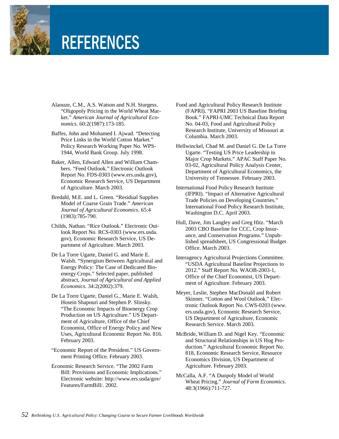

### REFERENCES

- Alaouze, C.M., A.S. Watson and N.H. Sturgess. "Oligopoly Pricing in the World Wheat Market." *American Journal of Agricultural Economics*. 60:2(1987):173-185.
- Baffes, John and Mohamed I. Ajwad. "Detecting Price Links in the World Cotton Market." Policy Research Working Paper No. WPS-1944, World Bank Group. July 1998.
- Baker, Allen, Edward Allen and William Chambers. "Feed Outlook." Electronic Outlook Report No. FDS-0303 (www.ers.usda.gov), Economic Research Service, US Department of Agriculture. March 2003.
- Bredahl, M.E. and L. Green. "Residual Supplies Model of Coarse Grain Trade." *American Journal of Agricultural Economics*. 65:4 (1983):785-790.
- Childs, Nathan. "Rice Outlook." Electronic Outlook Report No. RCS-0303 (www.ers.usda. gov), Economic Research Service, US Department of Agriculture. March 2003.
- De La Torre Ugarte, Daniel G. and Marie E. Walsh. "Synergism Between Agricultural and Energy Policy: The Case of Dedicated Bioenergy Crops." Selected paper, published abstract, *Journal of Agricultural and Applied Economics*. 34:2(2002):379.
- De La Torre Ugarte, Daniel G., Marie E. Walsh, Hosein Shapouri and Stephen P. Slinsky. "The Economic Impacts of Bioenergy Crop Production on US Agriculture." US Department of Agriculture, Office of the Chief Economist, Office of Energy Policy and New Uses, Agricultural Economic Report No. 816. February 2003.
- "Economic Report of the President." US Government Printing Office. February 2003.
- Economic Research Service. "The 2002 Farm Bill: Provisions and Economic Implications." Electronic website: http://www.ers.usda/gov/ Features/FarmBill/. 2002.
- Food and Agricultural Policy Research Institute (FAPRI). "FAPRI 2003 US Baseline Briefing Book." FAPRI-UMC Technical Data Report No. 04-03, Food and Agricultural Policy Research Institute, University of Missouri at Columbia. March 2003.
- Hellwinckel, Chad M. and Daniel G. De La Torre Ugarte. "Testing US Price Leadership in Major Crop Markets." APAC Staff Paper No. 03-02, Agricultural Policy Analysis Center, Department of Agricultural Economics, the University of Tennessee. February 2003.
- International Food Policy Research Institute (IFPRI). "Impact of Alternative Agricultural Trade Policies on Developing Countries." International Food Policy Research Institute, Washington D.C. April 2003.
- Hull, Dave, Jim Langley and Greg Hitz. "March 2003 CBO Baseline for CCC, Crop Insurance, and Conservation Programs." Unpublished spreadsheet, US Congressional Budget Office. March 2003.
- Interagency Agricultural Projections Committee. "USDA Agricultural Baseline Projections to 2012." Staff Report No. WAOB-2003-1, Office of the Chief Economist, US Department of Agriculture. February 2003.
- Meyer, Leslie, Stephen MacDonald and Robert Skinner. "Cotton and Wool Outlook." Electronic Outlook Report No. CWS-0203 (www. ers.usda.gov), Economic Research Service, US Department of Agriculture, Economic Research Service. March 2003.
- McBride, William D. and Nigel Key. "Economic and Structural Relationships in US Hog Production." Agricultural Economic Report No. 818, Economic Research Service, Resource Economics Division, US Department of Agriculture. February 2003.
- McCalla, A.F. "A Duopoly Model of World Wheat Pricing." *Journal of Farm Economics*. 48:3(1966):711-727.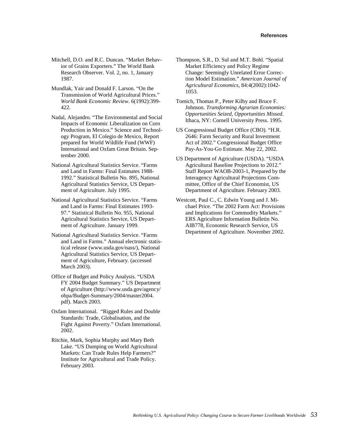- Mitchell, D.O. and R.C. Duncan. "Market Behavior of Grains Exporters." The World Bank Research Observer. Vol. 2, no. 1, January 1987.
- Mundlak, Yair and Donald F. Larson. "On the Transmission of World Agricultural Prices." *World Bank Economic Review*. 6(1992):399- 422.
- Nadal, Alejandro. "The Environmental and Social Impacts of Economic Liberalization on Corn Production in Mexico." Science and Technology Program, El Colegio de Mexico, Report prepared for World Wildlife Fund (WWF) International and Oxfam Great Britain. September 2000.
- National Agricultural Statistics Service. "Farms and Land in Farms: Final Estimates 1988- 1992." Statistical Bulletin No. 895, National Agricultural Statistics Service, US Department of Agriculture. July 1995.
- National Agricultural Statistics Service. "Farms and Land in Farms: Final Estimates 1993- 97." Statistical Bulletin No. 955, National Agricultural Statistics Service, US Department of Agriculture. January 1999.
- National Agricultural Statistics Service. "Farms and Land in Farms." Annual electronic statistical release (www.usda.gov/nass/), National Agricultural Statistics Service, US Department of Agriculture, February. (accessed March 2003).
- Office of Budget and Policy Analysis. "USDA FY 2004 Budget Summary." US Department of Agriculture (http://www.usda.gov/agency/ obpa/Budget-Summary/2004/master2004. pdf). March 2003.
- Oxfam International. "Rigged Rules and Double Standards: Trade, Globalisation, and the Fight Against Poverty." Oxfam International. 2002.
- Ritchie, Mark, Sophia Murphy and Mary Beth Lake. "US Dumping on World Agricultural Markets: Can Trade Rules Help Farmers?" Institute for Agricultural and Trade Policy. February 2003.
- Thompson, S.R., D. Sul and M.T. Bohl. "Spatial Market Efficiency and Policy Regime Change: Seemingly Unrelated Error Correction Model Estimation." *American Journal of Agricultural Economics*, 84:4(2002):1042- 1053.
- Tomich, Thomas P., Peter Kilby and Bruce F. Johnson. *Transforming Agrarian Economies: Opportunities Seized, Opportunities Missed*. Ithaca, NY: Cornell University Press. 1995.
- US Congressional Budget Office (CBO). "H.R. 2646: Farm Security and Rural Investment Act of 2002." Congressional Budget Office Pay-As-You-Go Estimate. May 22, 2002.
- US Department of Agriculture (USDA). "USDA Agricultural Baseline Projections to 2012." Staff Report WAOB-2003-1, Prepared by the Interagency Agricultural Projections Committee, Office of the Chief Economist, US Department of Agriculture. February 2003.
- Westcott, Paul C., C. Edwin Young and J. Michael Price. "The 2002 Farm Act: Provisions and Implications for Commodity Markets." ERS Agriculture Information Bulletin No. AIB778, Economic Research Service, US Department of Agriculture. November 2002.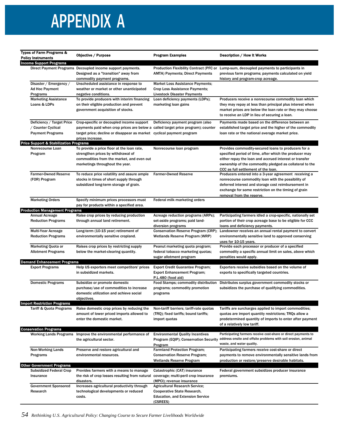### APPENDIX A

| <b>Types of Farm Programs &amp;</b>                                                                            | Objective / Purpose                                                                                                                                                                                                        |                                                                                                                 |                                                                                                                                                                                                                                                                           |
|----------------------------------------------------------------------------------------------------------------|----------------------------------------------------------------------------------------------------------------------------------------------------------------------------------------------------------------------------|-----------------------------------------------------------------------------------------------------------------|---------------------------------------------------------------------------------------------------------------------------------------------------------------------------------------------------------------------------------------------------------------------------|
| <b>Policy Instruments</b>                                                                                      |                                                                                                                                                                                                                            | <b>Program Examples</b>                                                                                         | Description / How it Works                                                                                                                                                                                                                                                |
| <b>Income Support Programs</b>                                                                                 |                                                                                                                                                                                                                            |                                                                                                                 |                                                                                                                                                                                                                                                                           |
|                                                                                                                | Direct Payment Programs Decoupled income support payments.<br>Designed as a "transition" away from<br>commodity payment programs.                                                                                          | <b>Production Flexibility Contract (PFC or</b><br><b>AMTA) Payments; Direct Payments</b>                        | Lump-sum, decoupled payments to participants in<br>previous farm programs; payments calculated on yield<br>history and program-crop acreage.                                                                                                                              |
| Disaster / Emergency /<br><b>Ad Hoc Payment</b><br>Programs                                                    | Unscheduled assistance in response to<br>weather or market or other unanticipated<br>negative conditions.                                                                                                                  | <b>Market Loss Assistance Payments;</b><br>Crop Loss Assistance Payments;<br><b>Livestock Disaster Payments</b> |                                                                                                                                                                                                                                                                           |
| <b>Marketing Assistance</b><br>Loans & LDPs                                                                    | To provide producers with interim financing<br>on their eligible production and prevent<br>government acquisition of stocks.                                                                                               | Loan deficiency payments (LDPs);<br>marketing loan gains                                                        | Producers receive a nonrecourse commodity loan which<br>they may repay at less than principal plus interest when<br>market prices are below the loan rate or they may choose<br>to receive an LDP in lieu of securing a loan.                                             |
| Deficiency / Target Price<br>/ Counter Cyclical<br><b>Payment Programs</b>                                     | Crop-specific or decoupled income support<br>payments paid when crop prices are below a called target price program); counter<br>target price; decline or disappear as market cyclical payment program<br>prices increase. | Deficiency payment program (also                                                                                | Payments made based on the difference between an<br>established target price and the higher of the commodity<br>loan rate or the national average market price.                                                                                                           |
| <b>Price Support &amp; Stabilization Programs</b><br>Nonrecourse Loan<br>Program                               | To provide a price floor at the loan rate,<br>strengthen prices by withdrawal of<br>commodities from the market, and even out<br>marketings throughout the year.                                                           | Nonrecourse loan program                                                                                        | Provides commodity-secured loans to producers for a<br>specified period of time, after which the producer may<br>either repay the loan and accrued interest or transfer<br>ownership of the commodity pledged as collateral to the<br>CCC as full settlement of the loan. |
| <b>Farmer-Owned Reserve</b><br>(FOR) Program                                                                   | To reduce price volatility and assure ample<br>stocks in times of short supply through<br>subsidized long-term storage of grain.                                                                                           | <b>Farmer-Owned Reserve</b>                                                                                     | Producers entered into a 3-year agreement receiving a<br>nonrecourse commodity loan with the possibility of<br>deferred interest and storage cost reimbursement in<br>exchange for some restriction on the timing of grain<br>removal from the reserve.                   |
| <b>Marketing Orders</b>                                                                                        | Specify minimum prices processors must<br>pay for products within a specified area.                                                                                                                                        | Federal milk marketing orders                                                                                   |                                                                                                                                                                                                                                                                           |
| <b>Production Management Programs</b>                                                                          |                                                                                                                                                                                                                            |                                                                                                                 |                                                                                                                                                                                                                                                                           |
| <b>Annual Acreage</b><br><b>Reduction Programs</b>                                                             | Raise crop prices by reducing production<br>through annual land retirement.                                                                                                                                                | Acreage reduction programs (ARPs);<br>set-aside programs; paid land-<br>diversion programs                      | Participating farmers idled a crop-specific, nationally set<br>portion of their crop acreage base to be eligible for CCC<br>loans and deficiency payments.                                                                                                                |
| <b>Multi-Year Acreage</b><br><b>Reduction Programs</b>                                                         | Long-term (10-15 year) retirement of<br>environmentally sensitive cropland.                                                                                                                                                | Conservation Reserve Program (CRP);<br>Wetlands Reserve Program (WRP)                                           | Landowner receives an annual rental payment to convert<br>environmentally sensitive land to approved conserving<br>uses for 10-15 years.                                                                                                                                  |
| <b>Marketing Quota or</b><br><b>Allotment Programs</b>                                                         | Raises crop prices by restricting supply<br>below the market-clearing quantity.                                                                                                                                            | Peanut marketing quota program;<br>federal tobacco marketing quotas;<br>sugar allotment program                 | Provide each processor or producer of a specified<br>commodity a specific annual limit on sales, above which<br>penalties would apply.                                                                                                                                    |
| <b>Demand Enhancement Programs</b>                                                                             |                                                                                                                                                                                                                            |                                                                                                                 |                                                                                                                                                                                                                                                                           |
| <b>Export Programs</b>                                                                                         | Help US exporters meet competitors' prices<br>in subsidized markets.                                                                                                                                                       | <b>Export Credit Guarantee Program;</b><br><b>Export Enhancement Program;</b><br>P.L.480 (food aid)             | Exporters receive subsidies based on the volume of<br>exports to specifically targeted countries.                                                                                                                                                                         |
| <b>Domestic Programs</b>                                                                                       | Subsidize or promote domestic<br>purchase/use of commodities to increase<br>domestic utilization and achieve social<br>objectives.                                                                                         | Food Stamps; commodity distribution<br>programs; commodity promotion<br>programs                                | Distributes surplus government commodity stocks or<br>subsidizes the purchase of qualifying commodities.                                                                                                                                                                  |
| <b>Import Restriction Programs</b>                                                                             |                                                                                                                                                                                                                            |                                                                                                                 |                                                                                                                                                                                                                                                                           |
| <b>Tariff &amp; Quota Programs</b>                                                                             | Raise domestic crop prices by reducing the<br>amount of lower priced imports allowed to<br>enter the domestic market.                                                                                                      | Non-tariff barriers; tariff-rate quotas<br>(TRQ); fixed tariffs; bound tariffs;<br>import quotas                | Tariffs are surcharges applied to import commodities;<br>quotas are import quantity restrictions; TRQs allow a<br>predetermined quantity of imports to enter after payment<br>of a relatively low tariff.                                                                 |
| <b>Conservation Programs</b>                                                                                   |                                                                                                                                                                                                                            |                                                                                                                 |                                                                                                                                                                                                                                                                           |
| <b>Working Lands Programs</b>                                                                                  | Improve the environmental performance of<br>the agricultural sector.                                                                                                                                                       | <b>Environmental Quality Incentives</b><br>Program (EQIP); Conservation Security<br>Program                     | Participating farmers receive cost-share or direct payments to<br>address onsite and offsite problems with soil erosion, animal<br>waste, and water quality.                                                                                                              |
| <b>Non-Working Lands</b><br>Programs                                                                           | Preserve and restore agricultural and<br>environmental resources.                                                                                                                                                          | <b>Farmland Protection Program;</b><br><b>Conservation Reserve Program;</b><br><b>Wetlands Reserve Program</b>  | Participating farmers receive cost-share or direct<br>payments to remove environmentally sensitive lands from<br>production or restore/preserve desirable habitats.                                                                                                       |
| <b>Other Government Programs</b><br><b>Subsidized Federal Crop</b><br>Insurance<br><b>Government Sponsored</b> | Provides farmers with a means to manage<br>the risk of crop losses resulting from natural coverage; multi-peril crop insurance<br>disasters.<br>Increases agricultural productivity through                                | Catastrophic (CAT) insurance<br>(MPCI); revenue insurance<br><b>Agricultural Research Service;</b>              | Federal government subsidizes producer insurance<br>premiums.                                                                                                                                                                                                             |
| Research                                                                                                       | technological developments or reduced<br>costs.                                                                                                                                                                            | <b>Cooperative State Research,</b><br><b>Education, and Extension Service</b><br>(CSREES)                       |                                                                                                                                                                                                                                                                           |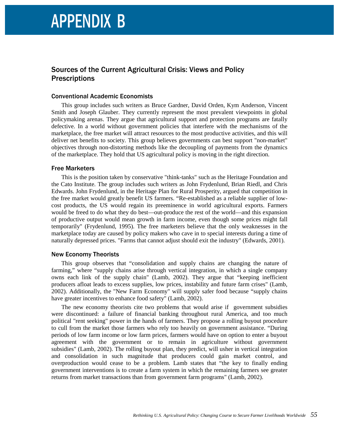### APPENDIX B

### Sources of the Current Agricultural Crisis: Views and Policy **Prescriptions**

### Conventional Academic Economists

This group includes such writers as Bruce Gardner, David Orden, Kym Anderson, Vincent Smith and Joseph Glauber. They currently represent the most prevalent viewpoints in global policymaking arenas. They argue that agricultural support and protection programs are fatally defective. In a world without government policies that interfere with the mechanisms of the marketplace, the free market will attract resources to the most productive activities, and this will deliver net benefits to society. This group believes governments can best support "non-market" objectives through non-distorting methods like the decoupling of payments from the dynamics of the marketplace. They hold that US agricultural policy is moving in the right direction.

### Free Marketers

This is the position taken by conservative "think-tanks" such as the Heritage Foundation and the Cato Institute. The group includes such writers as John Frydenlund, Brian Riedl, and Chris Edwards. John Frydenlund, in the Heritage Plan for Rural Prosperity, argued that competition in the free market would greatly benefit US farmers. "Re-established as a reliable supplier of lowcost products, the US would regain its preeminence in world agricultural exports. Farmers would be freed to do what they do best—out-produce the rest of the world—and this expansion of productive output would mean growth in farm income, even though some prices might fall temporarily" (Frydenlund, 1995). The free marketers believe that the only weaknesses in the marketplace today are caused by policy makers who cave in to special interests during a time of naturally depressed prices. "Farms that cannot adjust should exit the industry" (Edwards, 2001).

### New Economy Theorists

This group observes that "consolidation and supply chains are changing the nature of farming," where "supply chains arise through vertical integration, in which a single company owns each link of the supply chain" (Lamb, 2002). They argue that "keeping inefficient producers afloat leads to excess supplies, low prices, instability and future farm crises" (Lamb, 2002). Additionally, the "New Farm Economy" will supply safer food because "supply chains have greater incentives to enhance food safety" (Lamb, 2002).

The new economy theorists cite two problems that would arise if government subsidies were discontinued: a failure of financial banking throughout rural America, and too much political "rent seeking" power in the hands of farmers. They propose a rolling buyout procedure to cull from the market those farmers who rely too heavily on government assistance. "During periods of low farm income or low farm prices, farmers would have on option to enter a buyout agreement with the government or to remain in agriculture without government subsidies" (Lamb, 2002). The rolling buyout plan, they predict, will usher in vertical integration and consolidation in such magnitude that producers could gain market control, and overproduction would cease to be a problem. Lamb states that "the key to finally ending government interventions is to create a farm system in which the remaining farmers see greater returns from market transactions than from government farm programs" (Lamb, 2002).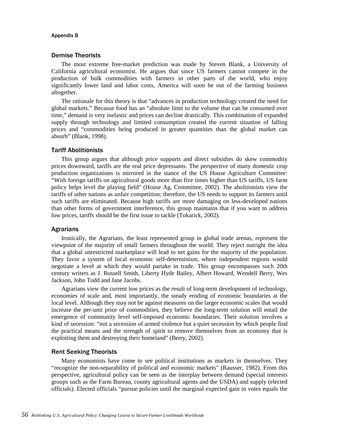#### Appendix B

### Demise Theorists

The most extreme free-market prediction was made by Steven Blank, a University of California agricultural economist. He argues that since US farmers cannot compete in the production of bulk commodities with farmers in other parts of the world, who enjoy significantly lower land and labor costs, America will soon be out of the farming business altogether.

The rationale for this theory is that "advances in production technology created the need for global markets." Because food has an "absolute limit to the volume that can be consumed over time," demand is very inelastic and prices can decline drastically. This combination of expanded supply through technology and limited consumption created the current situation of falling prices and "commodities being produced in greater quantities than the global market can absorb" (Blank, 1998).

### Tariff Abolitionists

This group argues that although price supports and direct subsidies do skew commodity prices downward, tariffs are the real price depressants. The perspective of many domestic crop production organizations is mirrored in the stance of the US House Agriculture Committee: "With foreign tariffs on agricultural goods more than five times higher than US tariffs, US farm policy helps level the playing field" (House Ag. Committee, 2002). The abolitionists view the tariffs of other nations as unfair competition; therefore, the US needs to support its farmers until such tariffs are eliminated. Because high tariffs are more damaging on less-developed nations than other forms of government interference, this group maintains that if you want to address low prices, tariffs should be the first issue to tackle (Tokarick, 2002).

### Agrarians

Ironically, the Agrarians, the least represented group in global trade arenas, represent the viewpoint of the majority of small farmers throughout the world. They reject outright the idea that a global unrestricted marketplace will lead to net gains for the majority of the population. They favor a system of local economic self-determinism, where independent regions would negotiate a level at which they would partake in trade. This group encompasses such 20th century writers as J. Russell Smith, Liberty Hyde Bailey, Albert Howard, Wendell Berry, Wes Jackson, John Todd and Jane Jacobs.

Agrarians view the current low prices as the result of long-term development of technology, economies of scale and, most importantly, the steady eroding of economic boundaries at the local level. Although they may not be against measures on the larger economic scales that would increase the per-unit price of commodities, they believe the long-term solution will entail the emergence of community level self-imposed economic boundaries. Their solution involves a kind of secession: "not a secession of armed violence but a quiet secession by which people find the practical means and the strength of spirit to remove themselves from an economy that is exploiting them and destroying their homeland" (Berry, 2002).

### Rent Seeking Theorists

Many economists have come to see political institutions as markets in themselves. They "recognize the non-separability of political and economic markets" (Rausser, 1982). From this perspective, agricultural policy can be seen as the interplay between demand (special interests groups such as the Farm Bureau, county agricultural agents and the USDA) and supply (elected officials). Elected officials "pursue policies until the marginal expected gain in votes equals the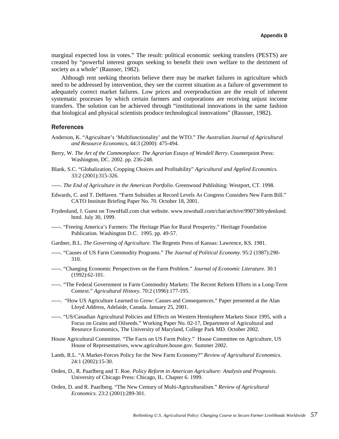marginal expected loss in votes." The result: political economic seeking transfers (PESTS) are created by "powerful interest groups seeking to benefit their own welfare to the detriment of society as a whole" (Rausser, 1982).

Although rent seeking theorists believe there may be market failures in agriculture which need to be addressed by intervention, they see the current situation as a failure of government to adequately correct market failures. Low prices and overproduction are the result of inherent systematic processes by which certain farmers and corporations are receiving unjust income transfers. The solution can be achieved through "institutional innovations in the same fashion that biological and physical scientists produce technological innovations" (Rausser, 1982).

#### References

- Anderson, K. "Agriculture's 'Multifunctionality' and the WTO." *The Australian Journal of Agricultural and Resource Economics*, 44:3 (2000): 475-494.
- Berry, W. *The Art of the Commonplace: The Agrarian Essays of Wendell Berry*. Counterpoint Press: Washington, DC. 2002. pp. 236-248.
- Blank, S.C. "Globalization, Cropping Choices and Profitability" *Agricultural and Applied Economics*. 33:2 (2001):315-326.
- -----. *The End of Agriculture in the American Portfolio*. Greenwood Publishing: Westport, CT. 1998.
- Edwards, C. and T. DeHaven. "Farm Subsidies at Record Levels As Congress Considers New Farm Bill." CATO Institute Briefing Paper No. 70. October 18, 2001.
- Frydenlund, J. Guest on TownHall.com chat website. www.townhall.com/chat/archive/990730frydenlund. html. July 30, 1999.
- -----. "Freeing America's Farmers: The Heritage Plan for Rural Prosperity." Heritage Foundation Publication. Washington D.C. 1995. pp. 49-57.
- Gardner, B.L. *The Governing of Agriculture*. The Regents Press of Kansas: Lawrence, KS. 1981.
- -----. "Causes of US Farm Commodity Programs." *The Journal of Political Economy*. 95:2 (1987):290- 310.
- -----. "Changing Economic Perspectives on the Farm Problem." *Journal of Economic Literature*. 30:1 (1992):62-101.
- -----. "The Federal Government in Farm Commodity Markets: The Recent Reform Efforts in a Long-Term Context." *Agricultural History*. 70:2 (1996):177-195.
- -----. "How US Agriculture Learned to Grow: Causes and Consequences." Paper presented at the Alan Lloyd Address, Adelaide, Canada. January 25, 2001.
- -----. "US/Canadian Agricultural Policies and Effects on Western Hemisphere Markets Since 1995, with a Focus on Grains and Oilseeds." Working Paper No. 02-17, Department of Agricultural and Resource Economics, The University of Maryland, College Park MD. October 2002.
- House Agricultural Committee. "The Facts on US Farm Policy." House Committee on Agriculture, US House of Representatives, www.agriculture.house.gov. Summer 2002.
- Lamb, R.L. "A Market-Forces Policy for the New Farm Economy?" *Review of Agricultural Economics*. 24:1 (2002):15-30.
- Orden, D., R. Paarlberg and T. Roe. *Policy Reform in American Agriculture: Analysis and Prognosis*. University of Chicago Press: Chicago, IL. Chapter 6. 1999.
- Orden, D. and R. Paarlberg. "The New Century of Multi-Agriculturalism." *Review of Agricultural Economics*. 23:2 (2001):289-301.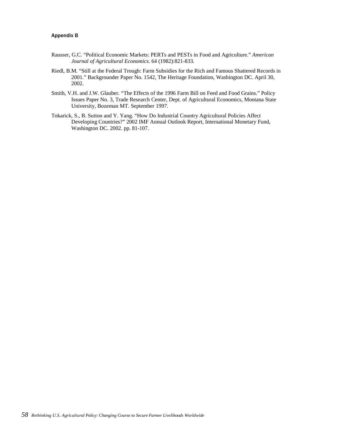#### Appendix B

- Rausser, G.C. "Political Economic Markets: PERTs and PESTs in Food and Agriculture." *American Journal of Agricultural Economics*. 64 (1982):821-833.
- Riedl, B.M. "Still at the Federal Trough: Farm Subsidies for the Rich and Famous Shattered Records in 2001." Backgrounder Paper No. 1542, The Heritage Foundation, Washington DC. April 30, 2002.
- Smith, V.H. and J.W. Glauber. "The Effects of the 1996 Farm Bill on Feed and Food Grains." Policy Issues Paper No. 3, Trade Research Center, Dept. of Agricultural Economics, Montana State University, Bozeman MT. September 1997.
- Tokarick, S., B. Sutton and Y. Yang. "How Do Industrial Country Agricultural Policies Affect Developing Countries?" 2002 IMF Annual Outlook Report, International Monetary Fund, Washington DC. 2002. pp. 81-107.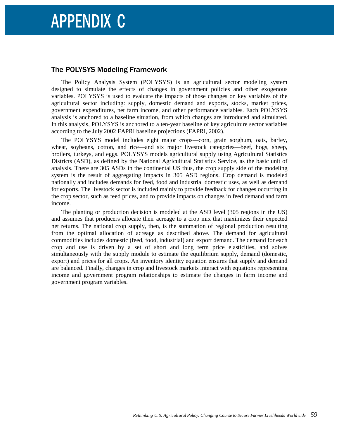### APPENDIX C

### The POLYSYS Modeling Framework

The Policy Analysis System (POLYSYS) is an agricultural sector modeling system designed to simulate the effects of changes in government policies and other exogenous variables. POLYSYS is used to evaluate the impacts of those changes on key variables of the agricultural sector including: supply, domestic demand and exports, stocks, market prices, government expenditures, net farm income, and other performance variables. Each POLYSYS analysis is anchored to a baseline situation, from which changes are introduced and simulated. In this analysis, POLYSYS is anchored to a ten-year baseline of key agriculture sector variables according to the July 2002 FAPRI baseline projections (FAPRI, 2002).

The POLYSYS model includes eight major crops—corn, grain sorghum, oats, barley, wheat, soybeans, cotton, and rice—and six major livestock categories—beef, hogs, sheep, broilers, turkeys, and eggs. POLYSYS models agricultural supply using Agricultural Statistics Districts (ASD), as defined by the National Agricultural Statistics Service, as the basic unit of analysis. There are 305 ASDs in the continental US thus, the crop supply side of the modeling system is the result of aggregating impacts in 305 ASD regions. Crop demand is modeled nationally and includes demands for feed, food and industrial domestic uses, as well as demand for exports. The livestock sector is included mainly to provide feedback for changes occurring in the crop sector, such as feed prices, and to provide impacts on changes in feed demand and farm income.

The planting or production decision is modeled at the ASD level (305 regions in the US) and assumes that producers allocate their acreage to a crop mix that maximizes their expected net returns. The national crop supply, then, is the summation of regional production resulting from the optimal allocation of acreage as described above. The demand for agricultural commodities includes domestic (feed, food, industrial) and export demand. The demand for each crop and use is driven by a set of short and long term price elasticities, and solves simultaneously with the supply module to estimate the equilibrium supply, demand (domestic, export) and prices for all crops. An inventory identity equation ensures that supply and demand are balanced. Finally, changes in crop and livestock markets interact with equations representing income and government program relationships to estimate the changes in farm income and government program variables.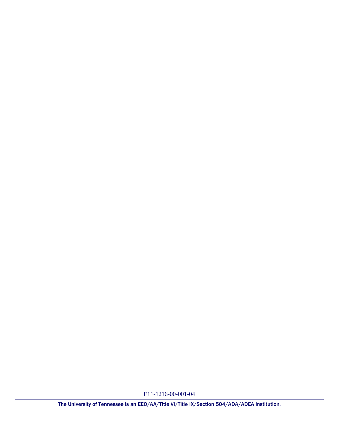E11-1216-00-001-04